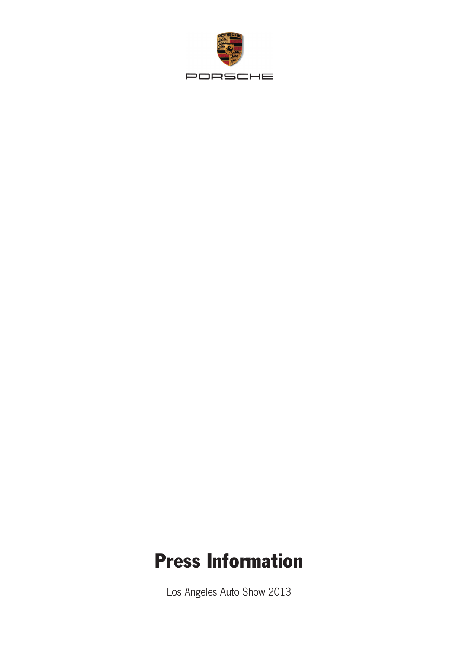

# Press Information

Los Angeles Auto Show 2013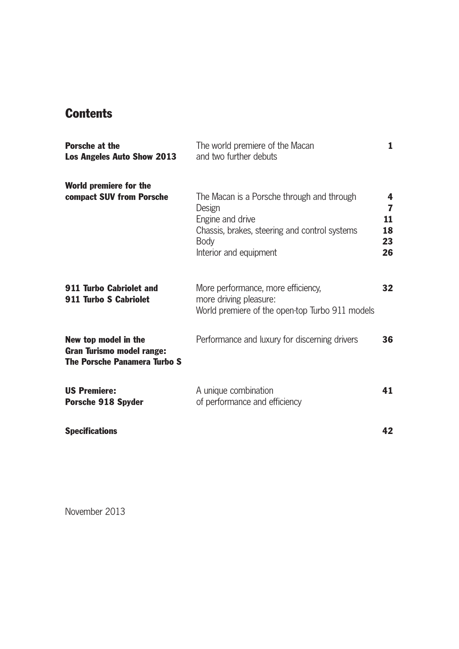# **Contents**

| <b>Porsche at the</b><br><b>Los Angeles Auto Show 2013</b>                                      | The world premiere of the Macan<br>and two further debuts                                                                                                          |                                |
|-------------------------------------------------------------------------------------------------|--------------------------------------------------------------------------------------------------------------------------------------------------------------------|--------------------------------|
| World premiere for the<br>compact SUV from Porsche                                              | The Macan is a Porsche through and through<br>Design<br>Engine and drive<br>Chassis, brakes, steering and control systems<br><b>Body</b><br>Interior and equipment | 4<br>7<br>11<br>18<br>23<br>26 |
| 911 Turbo Cabriolet and<br>911 Turbo S Cabriolet                                                | More performance, more efficiency,<br>more driving pleasure:<br>World premiere of the open-top Turbo 911 models                                                    | 32                             |
| New top model in the<br><b>Gran Turismo model range:</b><br><b>The Porsche Panamera Turbo S</b> | Performance and luxury for discerning drivers                                                                                                                      | 36                             |
| <b>US Premiere:</b><br><b>Porsche 918 Spyder</b>                                                | A unique combination<br>of performance and efficiency                                                                                                              | 41                             |
| <b>Specifications</b>                                                                           |                                                                                                                                                                    | 42                             |

November 2013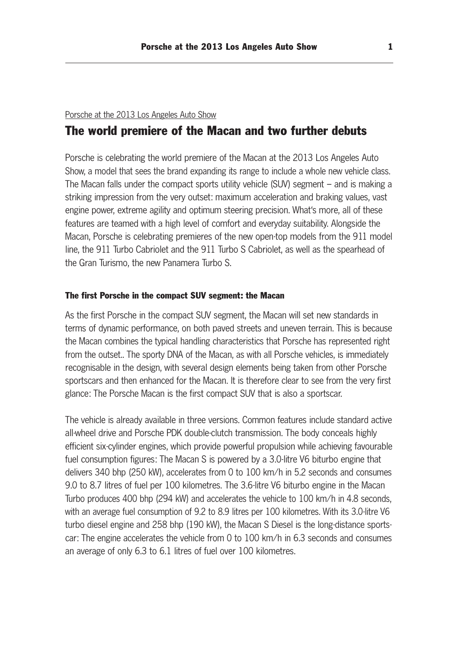#### Porsche at the 2013 Los Angeles Auto Show

# The world premiere of the Macan and two further debuts

Porsche is celebrating the world premiere of the Macan at the 2013 Los Angeles Auto Show, a model that sees the brand expanding its range to include a whole new vehicle class. The Macan falls under the compact sports utility vehicle (SUV) segment – and is making a striking impression from the very outset: maximum acceleration and braking values, vast engine power, extreme agility and optimum steering precision. What's more, all of these features are teamed with a high level of comfort and everyday suitability. Alongside the Macan, Porsche is celebrating premieres of the new open-top models from the 911 model line, the 911 Turbo Cabriolet and the 911 Turbo S Cabriolet, as well as the spearhead of the Gran Turismo, the new Panamera Turbo S.

#### The first Porsche in the compact SUV segment: the Macan

As the first Porsche in the compact SUV segment, the Macan will set new standards in terms of dynamic performance, on both paved streets and uneven terrain. This is because the Macan combines the typical handling characteristics that Porsche has represented right from the outset.. The sporty DNA of the Macan, as with all Porsche vehicles, is immediately recognisable in the design, with several design elements being taken from other Porsche sportscars and then enhanced for the Macan. It is therefore clear to see from the very first glance: The Porsche Macan is the first compact SUV that is also a sportscar.

The vehicle is already available in three versions. Common features include standard active all-wheel drive and Porsche PDK double-clutch transmission. The body conceals highly efficient six-cylinder engines, which provide powerful propulsion while achieving favourable fuel consumption figures: The Macan S is powered by a 3.0-litre V6 biturbo engine that delivers 340 bhp (250 kW), accelerates from 0 to 100 km/h in 5.2 seconds and consumes 9.0 to 8.7 litres of fuel per 100 kilometres. The 3.6-litre V6 biturbo engine in the Macan Turbo produces 400 bhp (294 kW) and accelerates the vehicle to 100 km/h in 4.8 seconds, with an average fuel consumption of 9.2 to 8.9 litres per 100 kilometres. With its 3.0-litre V6 turbo diesel engine and 258 bhp (190 kW), the Macan S Diesel is the long-distance sports car: The engine accelerates the vehicle from 0 to 100 km/h in 6.3 seconds and consumes an average of only 6.3 to 6.1 litres of fuel over 100 kilometres.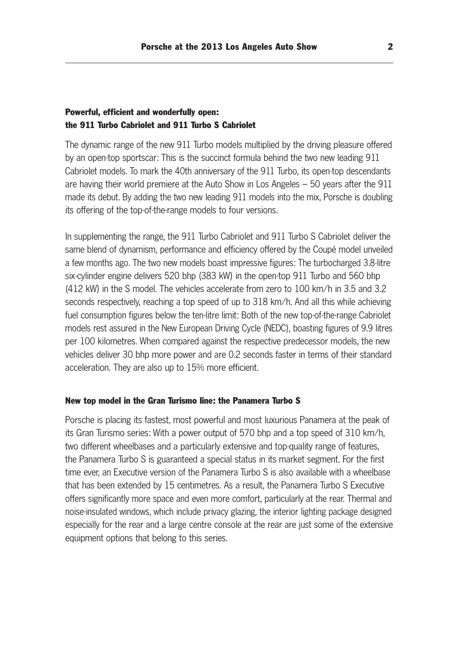# Powerful, efficient and wonderfully open: the 911 Turbo Cabriolet and 911 Turbo S Cabriolet

The dynamic range of the new 911 Turbo models multiplied by the driving pleasure offered by an open-top sportscar: This is the succinct formula behind the two new leading 911 Cabriolet models. To mark the 40th anniversary of the 911 Turbo, its open-top descendants are having their world premiere at the Auto Show in Los Angeles – 50 years after the 911 made its debut. By adding the two new leading 911 models into the mix, Porsche is doubling its offering of the top-of-the-range models to four versions.

In supplementing the range, the 911 Turbo Cabriolet and 911 Turbo S Cabriolet deliver the same blend of dynamism, performance and efficiency offered by the Coupé model unveiled a few months ago. The two new models boast impressive figures: The turbocharged 3.8-litre six-cylinder engine delivers 520 bhp (383 kW) in the open-top 911 Turbo and 560 bhp (412 kW) in the S model. The vehicles accelerate from zero to 100 km/h in 3.5 and 3.2 seconds respectively, reaching a top speed of up to 318 km/h. And all this while achieving fuel consumption figures below the ten-litre limit: Both of the new top-of-the-range Cabriolet models rest assured in the New European Driving Cycle (NEDC), boasting figures of 9.9 litres per 100 kilometres. When compared against the respective predecessor models, the new vehicles deliver 30 bhp more power and are 0.2 seconds faster in terms of their standard acceleration. They are also up to 15% more efficient.

### New top model in the Gran Turismo line: the Panamera Turbo S

Porsche is placing its fastest, most powerful and most luxurious Panamera at the peak of its Gran Turismo series: With a power output of 570 bhp and a top speed of 310 km/h, two different wheelbases and a particularly extensive and top-quality range of features, the Panamera Turbo S is guaranteed a special status in its market segment. For the first time ever, an Executive version of the Panamera Turbo S is also available with a wheelbase that has been extended by 15 centimetres. As a result, the Panamera Turbo S Executive offers significantly more space and even more comfort, particularly at the rear. Thermal and noise-insulated windows, which include privacy glazing, the interior lighting package designed especially for the rear and a large centre console at the rear are just some of the extensive equipment options that belong to this series.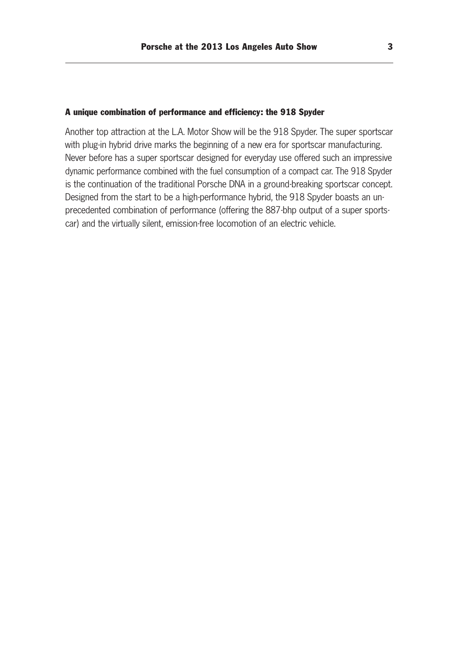#### A unique combination of performance and efficiency: the 918 Spyder

Another top attraction at the L.A. Motor Show will be the 918 Spyder. The super sportscar with plug-in hybrid drive marks the beginning of a new era for sportscar manufacturing. Never before has a super sportscar designed for everyday use offered such an impressive dynamic performance combined with the fuel consumption of a compact car. The 918 Spyder is the continuation of the traditional Porsche DNA in a ground-breaking sportscar concept. Designed from the start to be a high-performance hybrid, the 918 Spyder boasts an unprecedented combination of performance (offering the 887-bhp output of a super sportscar) and the virtually silent, emission-free locomotion of an electric vehicle.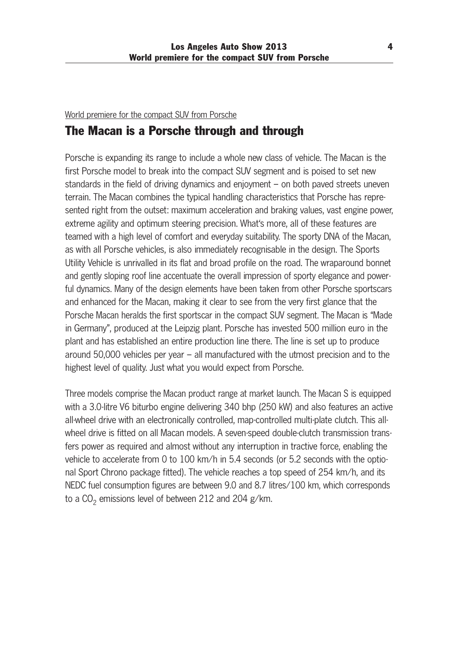# World premiere for the compact SUV from Porsche

# The Macan is a Porsche through and through

Porsche is expanding its range to include a whole new class of vehicle. The Macan is the first Porsche model to break into the compact SUV segment and is poised to set new standards in the field of driving dynamics and enjoyment – on both paved streets uneven terrain. The Macan combines the typical handling characteristics that Porsche has repre sented right from the outset: maximum acceleration and braking values, vast engine power, extreme agility and optimum steering precision. What's more, all of these features are teamed with a high level of comfort and everyday suitability. The sporty DNA of the Macan, as with all Porsche vehicles, is also immediately recognisable in the design. The Sports Utility Vehicle is unrivalled in its flat and broad profile on the road. The wraparound bonnet and gently sloping roof line accentuate the overall impression of sporty elegance and powerful dynamics. Many of the design elements have been taken from other Porsche sportscars and enhanced for the Macan, making it clear to see from the very first glance that the Porsche Macan heralds the first sportscar in the compact SUV segment. The Macan is "Made in Germany", produced at the Leipzig plant. Porsche has invested 500 million euro in the plant and has established an entire production line there. The line is set up to produce around 50,000 vehicles per year – all manufactured with the utmost precision and to the highest level of quality. Just what you would expect from Porsche.

Three models comprise the Macan product range at market launch. The Macan S is equipped with a 3.0-litre V6 biturbo engine delivering 340 bhp (250 kW) and also features an active all-wheel drive with an electronically controlled, map-controlled multi-plate clutch. This allwheel drive is fitted on all Macan models. A seven-speed double-clutch transmission transfers power as required and almost without any interruption in tractive force, enabling the vehicle to accelerate from 0 to 100 km/h in 5.4 seconds (or 5.2 seconds with the optional Sport Chrono package fitted). The vehicle reaches a top speed of 254 km/h, and its NEDC fuel consumption figures are between 9.0 and 8.7 litres/100 km, which corresponds to a  $CO<sub>2</sub>$  emissions level of between 212 and 204 g/km.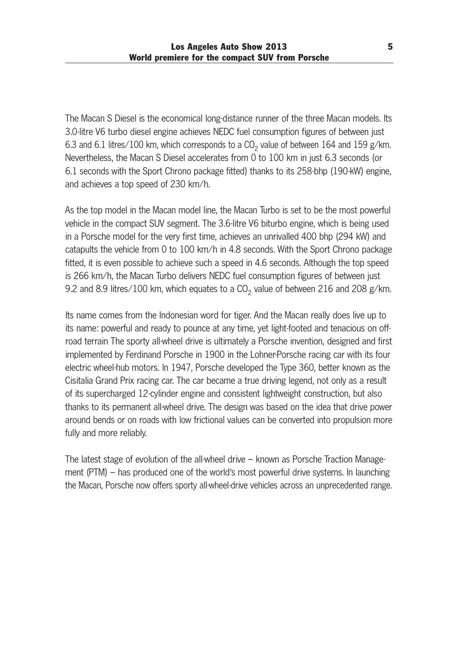The Macan S Diesel is the economical long-distance runner of the three Macan models. Its 3.0-litre V6 turbo diesel engine achieves NEDC fuel consumption figures of between just 6.3 and 6.1 litres/100 km, which corresponds to a  $CO<sub>2</sub>$  value of between 164 and 159 g/km. Nevertheless, the Macan S Diesel accelerates from 0 to 100 km in just 6.3 seconds (or 6.1 seconds with the Sport Chrono package fitted) thanks to its 258-bhp (190-kW) engine, and achieves a top speed of 230 km/h.

As the top model in the Macan model line, the Macan Turbo is set to be the most powerful vehicle in the compact SUV segment. The 3.6-litre V6 biturbo engine, which is being used in a Porsche model for the very first time, achieves an unrivalled 400 bhp (294 kW) and catapults the vehicle from 0 to 100 km/h in 4.8 seconds. With the Sport Chrono package fitted, it is even possible to achieve such a speed in 4.6 seconds. Although the top speed is 266 km/h, the Macan Turbo delivers NEDC fuel consumption figures of between just 9.2 and 8.9 litres/100 km, which equates to a  $CO<sub>2</sub>$  value of between 216 and 208 g/km.

Its name comes from the Indonesian word for tiger. And the Macan really does live up to its name: powerful and ready to pounce at any time, yet light-footed and tenacious on offroad terrain The sporty all-wheel drive is ultimately a Porsche invention, designed and first implemented by Ferdinand Porsche in 1900 in the Lohner-Porsche racing car with its four electric wheel-hub motors. In 1947, Porsche developed the Type 360, better known as the Cisitalia Grand Prix racing car. The car became a true driving legend, not only as a result of its supercharged 12-cylinder engine and consistent lightweight construction, but also thanks to its permanent all-wheel drive. The design was based on the idea that drive power around bends or on roads with low frictional values can be converted into propulsion more fully and more reliably.

The latest stage of evolution of the all-wheel drive – known as Porsche Traction Management (PTM) – has produced one of the world's most powerful drive systems. In launching the Macan, Porsche now offers sporty all-wheel-drive vehicles across an unprecedented range.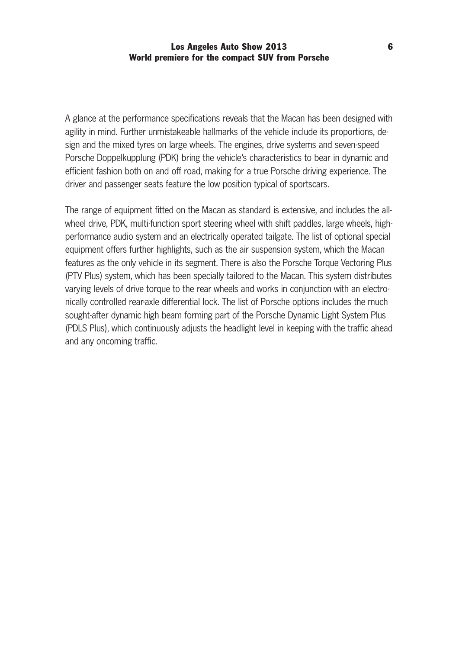A glance at the performance specifications reveals that the Macan has been designed with agility in mind. Further unmistakeable hallmarks of the vehicle include its proportions, de sign and the mixed tyres on large wheels. The engines, drive systems and seven-speed Porsche Doppelkupplung (PDK) bring the vehicle's characteristics to bear in dynamic and efficient fashion both on and off road, making for a true Porsche driving experience. The driver and passenger seats feature the low position typical of sportscars.

The range of equipment fitted on the Macan as standard is extensive, and includes the allwheel drive, PDK, multi-function sport steering wheel with shift paddles, large wheels, highperformance audio system and an electrically operated tailgate. The list of optional special equipment offers further highlights, such as the air suspension system, which the Macan features as the only vehicle in its segment. There is also the Porsche Torque Vectoring Plus (PTV Plus) system, which has been specially tailored to the Macan. This system distributes varying levels of drive torque to the rear wheels and works in conjunction with an electronically controlled rear-axle differential lock. The list of Porsche options includes the much sought-after dynamic high beam forming part of the Porsche Dynamic Light System Plus (PDLS Plus), which continuously adjusts the headlight level in keeping with the traffic ahead and any oncoming traffic.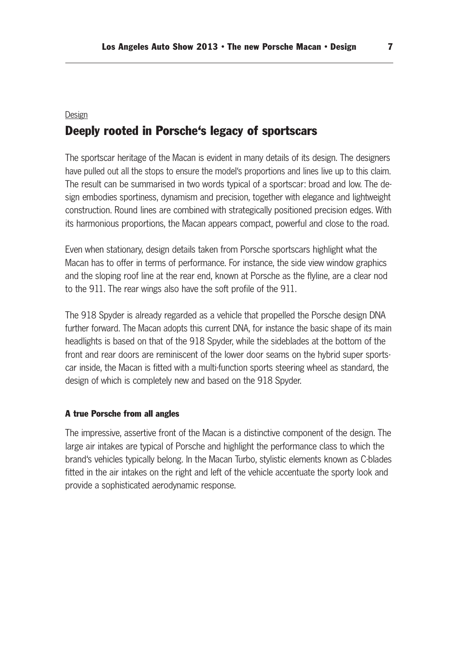# Design Deeply rooted in Porsche's legacy of sportscars

The sportscar heritage of the Macan is evident in many details of its design. The designers have pulled out all the stops to ensure the model's proportions and lines live up to this claim. The result can be summarised in two words typical of a sportscar: broad and low. The de sign embodies sportiness, dynamism and precision, together with elegance and lightweight construction. Round lines are combined with strategically positioned precision edges. With its harmonious proportions, the Macan appears compact, powerful and close to the road.

Even when stationary, design details taken from Porsche sportscars highlight what the Macan has to offer in terms of performance. For instance, the side view window graphics and the sloping roof line at the rear end, known at Porsche as the flyline, are a clear nod to the 911. The rear wings also have the soft profile of the 911.

The 918 Spyder is already regarded as a vehicle that propelled the Porsche design DNA further forward. The Macan adopts this current DNA, for instance the basic shape of its main headlights is based on that of the 918 Spyder, while the sideblades at the bottom of the front and rear doors are reminiscent of the lower door seams on the hybrid super sports car inside, the Macan is fitted with a multi-function sports steering wheel as standard, the design of which is completely new and based on the 918 Spyder.

#### A true Porsche from all angles

The impressive, assertive front of the Macan is a distinctive component of the design. The large air intakes are typical of Porsche and highlight the performance class to which the brand's vehicles typically belong. In the Macan Turbo, stylistic elements known as C-blades fitted in the air intakes on the right and left of the vehicle accentuate the sporty look and provide a sophisticated aerodynamic response.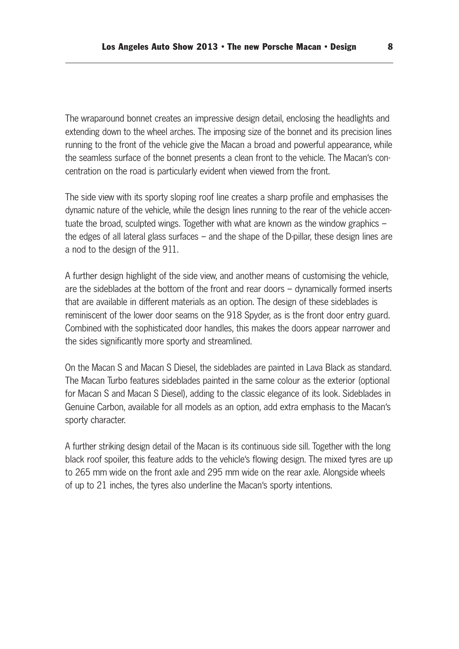The wraparound bonnet creates an impressive design detail, enclosing the headlights and extending down to the wheel arches. The imposing size of the bonnet and its precision lines running to the front of the vehicle give the Macan a broad and powerful appearance, while the seamless surface of the bonnet presents a clean front to the vehicle. The Macan's con centration on the road is particularly evident when viewed from the front.

The side view with its sporty sloping roof line creates a sharp profile and emphasises the dynamic nature of the vehicle, while the design lines running to the rear of the vehicle accentuate the broad, sculpted wings. Together with what are known as the window graphics – the edges of all lateral glass surfaces – and the shape of the D-pillar, these design lines are a nod to the design of the 911.

A further design highlight of the side view, and another means of customising the vehicle, are the sideblades at the bottom of the front and rear doors – dynamically formed inserts that are available in different materials as an option. The design of these sideblades is reminiscent of the lower door seams on the 918 Spyder, as is the front door entry guard. Combined with the sophisticated door handles, this makes the doors appear narrower and the sides significantly more sporty and streamlined.

On the Macan S and Macan S Diesel, the sideblades are painted in Lava Black as standard. The Macan Turbo features sideblades painted in the same colour as the exterior (optional for Macan S and Macan S Diesel), adding to the classic elegance of its look. Sideblades in Genuine Carbon, available for all models as an option, add extra emphasis to the Macan's sporty character.

A further striking design detail of the Macan is its continuous side sill. Together with the long black roof spoiler, this feature adds to the vehicle's flowing design. The mixed tyres are up to 265 mm wide on the front axle and 295 mm wide on the rear axle. Alongside wheels of up to 21 inches, the tyres also underline the Macan's sporty intentions.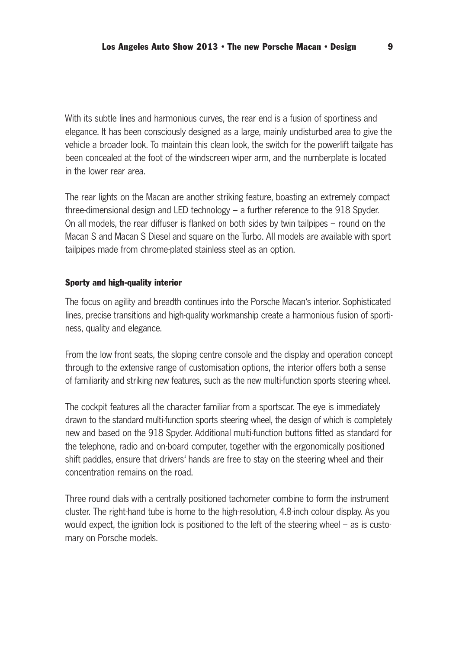With its subtle lines and harmonious curves, the rear end is a fusion of sportiness and elegance. It has been consciously designed as a large, mainly undisturbed area to give the vehicle a broader look. To maintain this clean look, the switch for the powerlift tailgate has been concealed at the foot of the windscreen wiper arm, and the numberplate is located in the lower rear area.

The rear lights on the Macan are another striking feature, boasting an extremely compact three-dimensional design and LED technology – a further reference to the 918 Spyder. On all models, the rear diffuser is flanked on both sides by twin tailpipes – round on the Macan S and Macan S Diesel and square on the Turbo. All models are available with sport tailpipes made from chrome-plated stainless steel as an option.

#### Sporty and high-quality interior

The focus on agility and breadth continues into the Porsche Macan's interior. Sophisticated lines, precise transitions and high-quality workmanship create a harmonious fusion of sporti ness, quality and elegance.

From the low front seats, the sloping centre console and the display and operation concept through to the extensive range of customisation options, the interior offers both a sense of familiarity and striking new features, such as the new multi-function sports steering wheel.

The cockpit features all the character familiar from a sportscar. The eye is immediately drawn to the standard multi-function sports steering wheel, the design of which is completely new and based on the 918 Spyder. Additional multi-function buttons fitted as standard for the telephone, radio and on-board computer, together with the ergonomically positioned shift paddles, ensure that drivers' hands are free to stay on the steering wheel and their concentration remains on the road.

Three round dials with a centrally positioned tachometer combine to form the instrument cluster. The right-hand tube is home to the high-resolution, 4.8-inch colour display. As you would expect, the ignition lock is positioned to the left of the steering wheel – as is customary on Porsche models.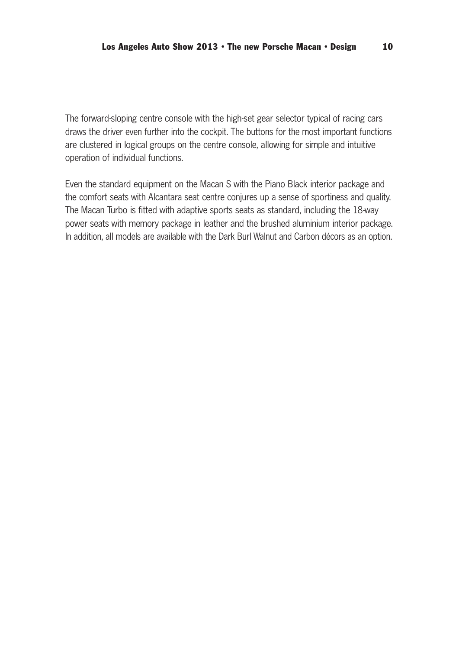The forward-sloping centre console with the high-set gear selector typical of racing cars draws the driver even further into the cockpit. The buttons for the most important functions are clustered in logical groups on the centre console, allowing for simple and intuitive operation of individual functions.

Even the standard equipment on the Macan S with the Piano Black interior package and the comfort seats with Alcantara seat centre conjures up a sense of sportiness and quality. The Macan Turbo is fitted with adaptive sports seats as standard, including the 18-way power seats with memory package in leather and the brushed aluminium interior package. In addition, all models are available with the Dark Burl Walnut and Carbon décors as an option.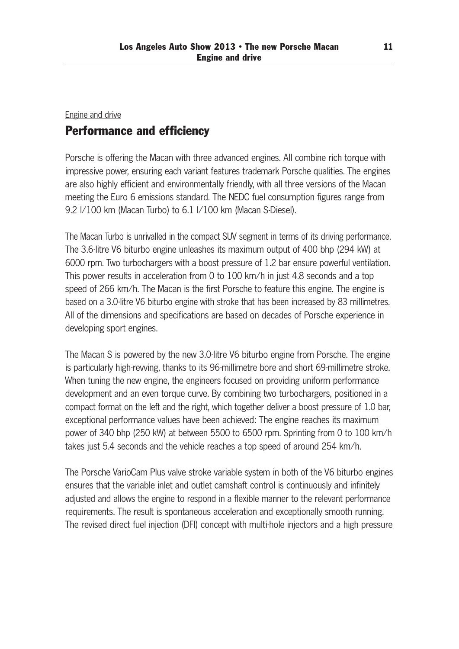# Engine and drive Performance and efficiency

Porsche is offering the Macan with three advanced engines. All combine rich torque with impressive power, ensuring each variant features trademark Porsche qualities. The engines are also highly efficient and environmentally friendly, with all three versions of the Macan meeting the Euro 6 emissions standard. The NEDC fuel consumption figures range from 9.2 l/100 km (Macan Turbo) to 6.1 l/100 km (Macan S-Diesel).

The Macan Turbo is unrivalled in the compact SUV segment in terms of its driving performance. The 3.6-litre V6 biturbo engine unleashes its maximum output of 400 bhp (294 kW) at 6000 rpm. Two turbochargers with a boost pressure of 1.2 bar ensure powerful ventilation. This power results in acceleration from 0 to 100 km/h in just 4.8 seconds and a top speed of 266 km/h. The Macan is the first Porsche to feature this engine. The engine is based on a 3.0-litre V6 biturbo engine with stroke that has been increased by 83 millimetres. All of the dimensions and specifications are based on decades of Porsche experience in developing sport engines.

The Macan S is powered by the new 3.0-litre V6 biturbo engine from Porsche. The engine is particularly high-revving, thanks to its 96-millimetre bore and short 69-millimetre stroke. When tuning the new engine, the engineers focused on providing uniform performance development and an even torque curve. By combining two turbochargers, positioned in a compact format on the left and the right, which together deliver a boost pressure of 1.0 bar, exceptional performance values have been achieved: The engine reaches its maximum power of 340 bhp (250 kW) at between 5500 to 6500 rpm. Sprinting from 0 to 100 km/h takes just 5.4 seconds and the vehicle reaches a top speed of around 254 km/h.

The Porsche VarioCam Plus valve stroke variable system in both of the V6 biturbo engines ensures that the variable inlet and outlet camshaft control is continuously and infinitely adjusted and allows the engine to respond in a flexible manner to the relevant performance requirements. The result is spontaneous acceleration and exceptionally smooth running. The revised direct fuel injection (DFI) concept with multi-hole injectors and a high pressure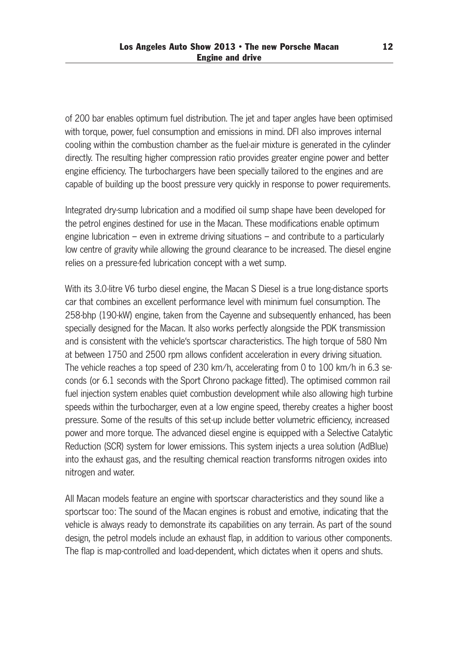of 200 bar enables optimum fuel distribution. The jet and taper angles have been optimised with torque, power, fuel consumption and emissions in mind. DFI also improves internal cooling within the combustion chamber as the fuel-air mixture is generated in the cylinder directly. The resulting higher compression ratio provides greater engine power and better engine efficiency. The turbochargers have been specially tailored to the engines and are capable of building up the boost pressure very quickly in response to power requirements.

Integrated dry-sump lubrication and a modified oil sump shape have been developed for the petrol engines destined for use in the Macan. These modifications enable optimum engine lubrication – even in extreme driving situations – and contribute to a particularly low centre of gravity while allowing the ground clearance to be increased. The diesel engine relies on a pressure-fed lubrication concept with a wet sump.

With its 3.0-litre V6 turbo diesel engine, the Macan S Diesel is a true long-distance sports car that combines an excellent performance level with minimum fuel consumption. The 258-bhp (190-kW) engine, taken from the Cayenne and subsequently enhanced, has been specially designed for the Macan. It also works perfectly alongside the PDK transmission and is consistent with the vehicle's sportscar characteristics. The high torque of 580 Nm at between 1750 and 2500 rpm allows confident acceleration in every driving situation. The vehicle reaches a top speed of 230 km/h, accelerating from 0 to 100 km/h in 6.3 seconds (or 6.1 seconds with the Sport Chrono package fitted). The optimised common rail fuel injection system enables quiet combustion development while also allowing high turbine speeds within the turbocharger, even at a low engine speed, thereby creates a higher boost pressure. Some of the results of this set-up include better volumetric efficiency, increased power and more torque. The advanced diesel engine is equipped with a Selective Catalytic Reduction (SCR) system for lower emissions. This system injects a urea solution (AdBlue) into the exhaust gas, and the resulting chemical reaction transforms nitrogen oxides into nitrogen and water.

All Macan models feature an engine with sportscar characteristics and they sound like a sportscar too: The sound of the Macan engines is robust and emotive, indicating that the vehicle is always ready to demonstrate its capabilities on any terrain. As part of the sound design, the petrol models include an exhaust flap, in addition to various other components. The flap is map-controlled and load-dependent, which dictates when it opens and shuts.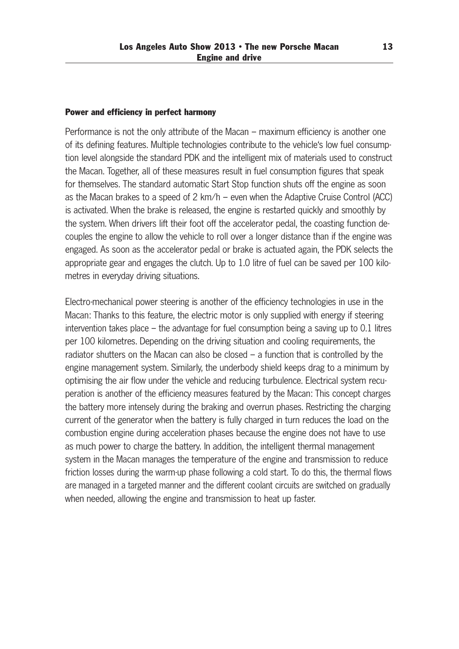#### Power and efficiency in perfect harmony

Performance is not the only attribute of the Macan – maximum efficiency is another one of its defining features. Multiple technologies contribute to the vehicle's low fuel consump tion level alongside the standard PDK and the intelligent mix of materials used to construct the Macan. Together, all of these measures result in fuel consumption figures that speak for themselves. The standard automatic Start Stop function shuts off the engine as soon as the Macan brakes to a speed of 2 km/h – even when the Adaptive Cruise Control (ACC) is activated. When the brake is released, the engine is restarted quickly and smoothly by the system. When drivers lift their foot off the accelerator pedal, the coasting function decouples the engine to allow the vehicle to roll over a longer distance than if the engine was engaged. As soon as the accelerator pedal or brake is actuated again, the PDK selects the appropriate gear and engages the clutch. Up to 1.0 litre of fuel can be saved per 100 kilometres in everyday driving situations.

Electro-mechanical power steering is another of the efficiency technologies in use in the Macan: Thanks to this feature, the electric motor is only supplied with energy if steering intervention takes place – the advantage for fuel consumption being a saving up to 0.1 litres per 100 kilometres. Depending on the driving situation and cooling requirements, the radiator shutters on the Macan can also be closed – a function that is controlled by the engine management system. Similarly, the underbody shield keeps drag to a minimum by optimising the air flow under the vehicle and reducing turbulence. Electrical system recu peration is another of the efficiency measures featured by the Macan: This concept charges the battery more intensely during the braking and overrun phases. Restricting the charging current of the generator when the battery is fully charged in turn reduces the load on the combustion engine during acceleration phases because the engine does not have to use as much power to charge the battery. In addition, the intelligent thermal management system in the Macan manages the temperature of the engine and transmission to reduce friction losses during the warm-up phase following a cold start. To do this, the thermal flows are managed in a targeted manner and the different coolant circuits are switched on gradually when needed, allowing the engine and transmission to heat up faster.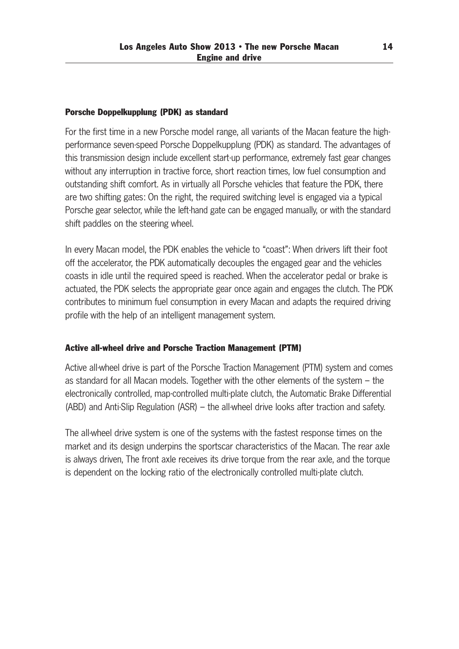### Porsche Doppelkupplung (PDK) as standard

For the first time in a new Porsche model range, all variants of the Macan feature the high performance seven-speed Porsche Doppelkupplung (PDK) as standard. The advantages of this transmission design include excellent start-up performance, extremely fast gear changes without any interruption in tractive force, short reaction times, low fuel consumption and outstanding shift comfort. As in virtually all Porsche vehicles that feature the PDK, there are two shifting gates: On the right, the required switching level is engaged via a typical Porsche gear selector, while the left-hand gate can be engaged manually, or with the standard shift paddles on the steering wheel.

In every Macan model, the PDK enables the vehicle to "coast": When drivers lift their foot off the accelerator, the PDK automatically decouples the engaged gear and the vehicles coasts in idle until the required speed is reached. When the accelerator pedal or brake is actuated, the PDK selects the appropriate gear once again and engages the clutch. The PDK contributes to minimum fuel consumption in every Macan and adapts the required driving profile with the help of an intelligent management system.

# Active all-wheel drive and Porsche Traction Management (PTM)

Active all-wheel drive is part of the Porsche Traction Management (PTM) system and comes as standard for all Macan models. Together with the other elements of the system – the electronically controlled, map-controlled multi-plate clutch, the Automatic Brake Differential (ABD) and Anti-Slip Regulation (ASR) – the all-wheel drive looks after traction and safety.

The all-wheel drive system is one of the systems with the fastest response times on the market and its design underpins the sportscar characteristics of the Macan. The rear axle is always driven, The front axle receives its drive torque from the rear axle, and the torque is dependent on the locking ratio of the electronically controlled multi-plate clutch.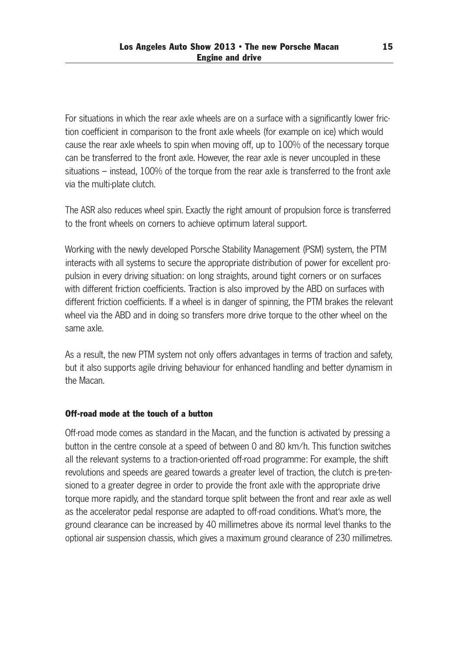For situations in which the rear axle wheels are on a surface with a significantly lower fric tion coefficient in comparison to the front axle wheels (for example on ice) which would cause the rear axle wheels to spin when moving off, up to 100% of the necessary torque can be transferred to the front axle. However, the rear axle is never uncoupled in these situations – instead, 100% of the torque from the rear axle is transferred to the front axle via the multi-plate clutch.

The ASR also reduces wheel spin. Exactly the right amount of propulsion force is transferred to the front wheels on corners to achieve optimum lateral support.

Working with the newly developed Porsche Stability Management (PSM) system, the PTM interacts with all systems to secure the appropriate distribution of power for excellent propulsion in every driving situation: on long straights, around tight corners or on surfaces with different friction coefficients. Traction is also improved by the ABD on surfaces with different friction coefficients. If a wheel is in danger of spinning, the PTM brakes the relevant wheel via the ABD and in doing so transfers more drive torque to the other wheel on the same axle.

As a result, the new PTM system not only offers advantages in terms of traction and safety, but it also supports agile driving behaviour for enhanced handling and better dynamism in the Macan.

### Off-road mode at the touch of a button

Off-road mode comes as standard in the Macan, and the function is activated by pressing a button in the centre console at a speed of between 0 and 80 km/h. This function switches all the relevant systems to a traction-oriented off-road programme: For example, the shift revolutions and speeds are geared towards a greater level of traction, the clutch is pre-tensioned to a greater degree in order to provide the front axle with the appropriate drive torque more rapidly, and the standard torque split between the front and rear axle as well as the accelerator pedal response are adapted to off-road conditions. What's more, the ground clearance can be increased by 40 millimetres above its normal level thanks to the optional air suspension chassis, which gives a maximum ground clearance of 230 millimetres.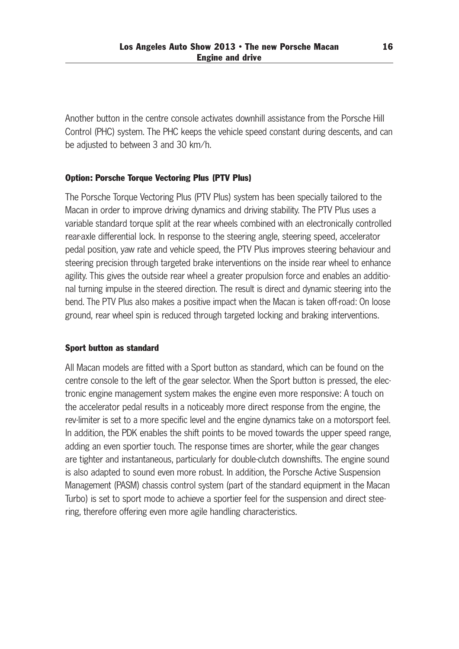Another button in the centre console activates downhill assistance from the Porsche Hill Control (PHC) system. The PHC keeps the vehicle speed constant during descents, and can be adjusted to between 3 and 30 km/h.

# Option: Porsche Torque Vectoring Plus (PTV Plus)

The Porsche Torque Vectoring Plus (PTV Plus) system has been specially tailored to the Macan in order to improve driving dynamics and driving stability. The PTV Plus uses a variable standard torque split at the rear wheels combined with an electronically controlled rear-axle differential lock. In response to the steering angle, steering speed, accelerator pedal position, yaw rate and vehicle speed, the PTV Plus improves steering behaviour and steering precision through targeted brake interventions on the inside rear wheel to enhance agility. This gives the outside rear wheel a greater propulsion force and enables an additional turning impulse in the steered direction. The result is direct and dynamic steering into the bend. The PTV Plus also makes a positive impact when the Macan is taken off-road: On loose ground, rear wheel spin is reduced through targeted locking and braking interventions.

### Sport button as standard

All Macan models are fitted with a Sport button as standard, which can be found on the centre console to the left of the gear selector. When the Sport button is pressed, the elec tronic engine management system makes the engine even more responsive: A touch on the accelerator pedal results in a noticeably more direct response from the engine, the rev-limiter is set to a more specific level and the engine dynamics take on a motorsport feel. In addition, the PDK enables the shift points to be moved towards the upper speed range, adding an even sportier touch. The response times are shorter, while the gear changes are tighter and instantaneous, particularly for double-clutch downshifts. The engine sound is also adapted to sound even more robust. In addition, the Porsche Active Suspension Management (PASM) chassis control system (part of the standard equipment in the Macan Turbo) is set to sport mode to achieve a sportier feel for the suspension and direct stee ring, therefore offering even more agile handling characteristics.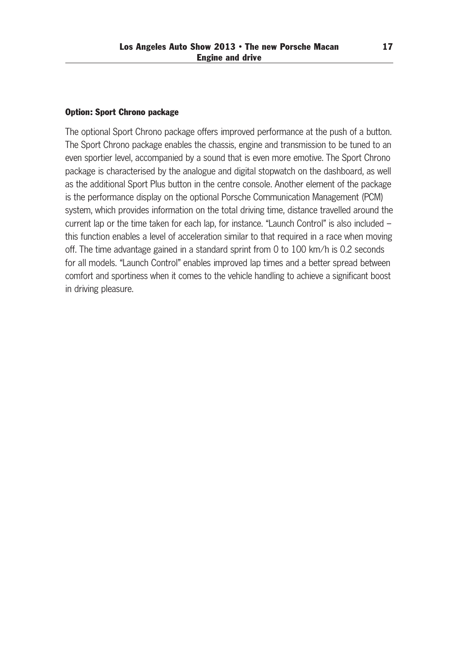#### Option: Sport Chrono package

The optional Sport Chrono package offers improved performance at the push of a button. The Sport Chrono package enables the chassis, engine and transmission to be tuned to an even sportier level, accompanied by a sound that is even more emotive. The Sport Chrono package is characterised by the analogue and digital stopwatch on the dashboard, as well as the additional Sport Plus button in the centre console. Another element of the package is the performance display on the optional Porsche Communication Management (PCM) system, which provides information on the total driving time, distance travelled around the current lap or the time taken for each lap, for instance. "Launch Control" is also included – this function enables a level of acceleration similar to that required in a race when moving off. The time advantage gained in a standard sprint from 0 to 100 km/h is 0.2 seconds for all models. "Launch Control" enables improved lap times and a better spread between comfort and sportiness when it comes to the vehicle handling to achieve a significant boost in driving pleasure.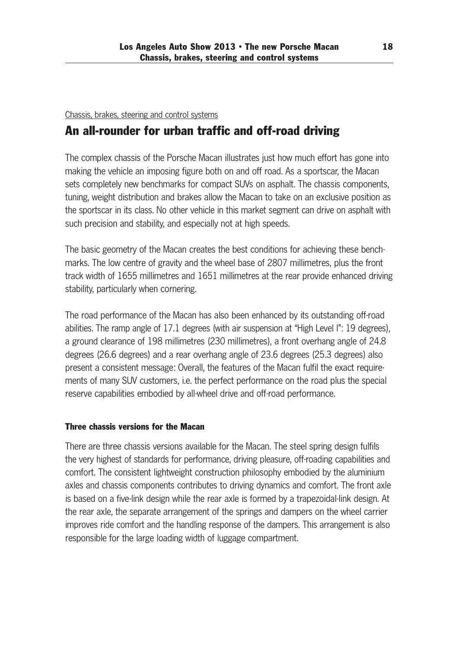# Chassis, brakes, steering and control systems

# An all-rounder for urban traffic and off-road driving

The complex chassis of the Porsche Macan illustrates just how much effort has gone into making the vehicle an imposing figure both on and off road. As a sportscar, the Macan sets completely new benchmarks for compact SUVs on asphalt. The chassis components, tuning, weight distribution and brakes allow the Macan to take on an exclusive position as the sportscar in its class. No other vehicle in this market segment can drive on asphalt with such precision and stability, and especially not at high speeds.

The basic geometry of the Macan creates the best conditions for achieving these benchmarks. The low centre of gravity and the wheel base of 2807 millimetres, plus the front track width of 1655 millimetres and 1651 millimetres at the rear provide enhanced driving stability, particularly when cornering.

The road performance of the Macan has also been enhanced by its outstanding off-road abilities. The ramp angle of 17.1 degrees (with air suspension at "High Level I": 19 degrees), a ground clearance of 198 millimetres (230 millimetres), a front overhang angle of 24.8 de grees (26.6 degrees) and a rear overhang angle of 23.6 degrees (25.3 degrees) also present a consistent message: Overall, the features of the Macan fulfil the exact require ments of many SUV customers, i.e. the perfect performance on the road plus the special reserve capabilities embodied by all-wheel drive and off-road performance.

# Three chassis versions for the Macan

There are three chassis versions available for the Macan. The steel spring design fulfils the very highest of standards for performance, driving pleasure, off-roading capabilities and comfort. The consistent lightweight construction philosophy embodied by the aluminium axles and chassis components contributes to driving dynamics and comfort. The front axle is based on a five-link design while the rear axle is formed by a trapezoidal-link design. At the rear axle, the separate arrangement of the springs and dampers on the wheel carrier improves ride comfort and the handling response of the dampers. This arrangement is also responsible for the large loading width of luggage compartment.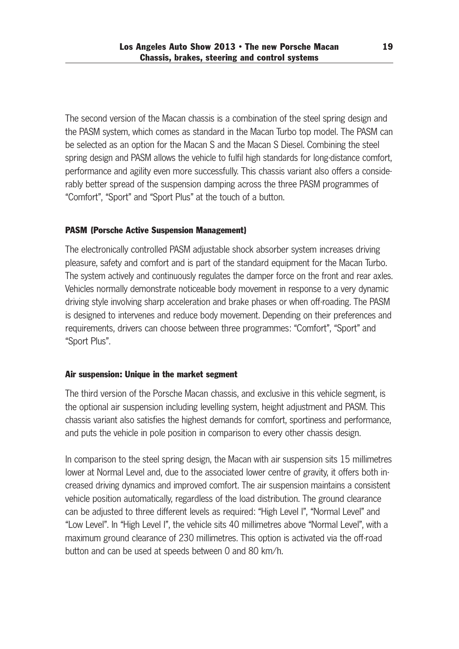The second version of the Macan chassis is a combination of the steel spring design and the PASM system, which comes as standard in the Macan Turbo top model. The PASM can be selected as an option for the Macan S and the Macan S Diesel. Combining the steel spring design and PASM allows the vehicle to fulfil high standards for long-distance comfort, performance and agility even more successfully. This chassis variant also offers a considerably better spread of the suspension damping across the three PASM programmes of "Comfort", "Sport" and "Sport Plus" at the touch of a button.

# PASM (Porsche Active Suspension Management)

The electronically controlled PASM adjustable shock absorber system increases driving pleasure, safety and comfort and is part of the standard equipment for the Macan Turbo. The system actively and continuously regulates the damper force on the front and rear axles. Vehicles normally demonstrate noticeable body movement in response to a very dynamic driving style involving sharp acceleration and brake phases or when off-roading. The PASM is designed to intervenes and reduce body movement. Depending on their preferences and requirements, drivers can choose between three programmes: "Comfort", "Sport" and "Sport Plus".

### Air suspension: Unique in the market segment

The third version of the Porsche Macan chassis, and exclusive in this vehicle segment, is the optional air suspension including levelling system, height adjustment and PASM. This chassis variant also satisfies the highest demands for comfort, sportiness and performance, and puts the vehicle in pole position in comparison to every other chassis design.

In comparison to the steel spring design, the Macan with air suspension sits 15 millimetres lower at Normal Level and, due to the associated lower centre of gravity, it offers both increased driving dynamics and improved comfort. The air suspension maintains a consistent vehicle position automatically, regardless of the load distribution. The ground clearance can be adjusted to three different levels as required: "High Level I", "Normal Level" and "Low Level". In "High Level I", the vehicle sits 40 millimetres above "Normal Level", with a maximum ground clearance of 230 millimetres. This option is activated via the off-road button and can be used at speeds between 0 and 80 km/h.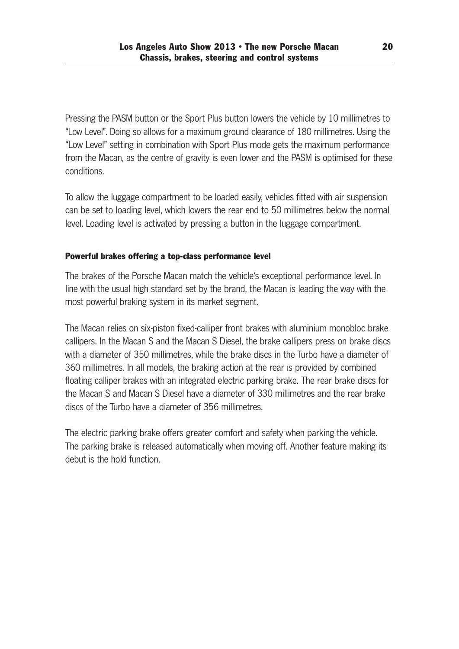Pressing the PASM button or the Sport Plus button lowers the vehicle by 10 millimetres to "Low Level". Doing so allows for a maximum ground clearance of 180 millimetres. Using the "Low Level" setting in combination with Sport Plus mode gets the maximum performance from the Macan, as the centre of gravity is even lower and the PASM is optimised for these conditions.

To allow the luggage compartment to be loaded easily, vehicles fitted with air suspension can be set to loading level, which lowers the rear end to 50 millimetres below the normal level. Loading level is activated by pressing a button in the luggage compartment.

# Powerful brakes offering a top-class performance level

The brakes of the Porsche Macan match the vehicle's exceptional performance level. In line with the usual high standard set by the brand, the Macan is leading the way with the most powerful braking system in its market segment.

The Macan relies on six-piston fixed-calliper front brakes with aluminium monobloc brake callipers. In the Macan S and the Macan S Diesel, the brake callipers press on brake discs with a diameter of 350 millimetres, while the brake discs in the Turbo have a diameter of 360 millimetres. In all models, the braking action at the rear is provided by combined floating calliper brakes with an integrated electric parking brake. The rear brake discs for the Macan S and Macan S Diesel have a diameter of 330 millimetres and the rear brake discs of the Turbo have a diameter of 356 millimetres.

The electric parking brake offers greater comfort and safety when parking the vehicle. The parking brake is released automatically when moving off. Another feature making its debut is the hold function.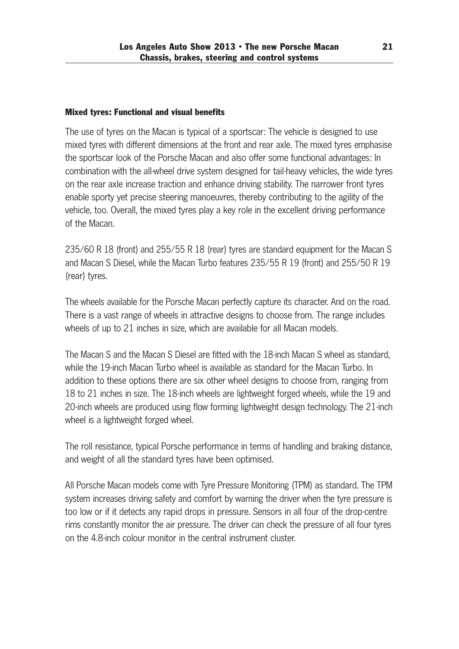# Mixed tyres: Functional and visual benefits

The use of tyres on the Macan is typical of a sportscar: The vehicle is designed to use mixed tyres with different dimensions at the front and rear axle. The mixed tyres emphasise the sportscar look of the Porsche Macan and also offer some functional advantages: In combination with the all-wheel drive system designed for tail-heavy vehicles, the wide tyres on the rear axle increase traction and enhance driving stability. The narrower front tyres enable sporty yet precise steering manoeuvres, thereby contributing to the agility of the vehicle, too. Overall, the mixed tyres play a key role in the excellent driving performance of the Macan.

235/60 R 18 (front) and 255/55 R 18 (rear) tyres are standard equipment for the Macan S and Macan S Diesel, while the Macan Turbo features 235/55 R 19 (front) and 255/50 R 19 (rear) tyres.

The wheels available for the Porsche Macan perfectly capture its character. And on the road. There is a vast range of wheels in attractive designs to choose from. The range includes wheels of up to 21 inches in size, which are available for all Macan models.

The Macan S and the Macan S Diesel are fitted with the 18-inch Macan S wheel as standard, while the 19-inch Macan Turbo wheel is available as standard for the Macan Turbo. In addition to these options there are six other wheel designs to choose from, ranging from 18 to 21 inches in size. The 18-inch wheels are lightweight forged wheels, while the 19 and 20-inch wheels are produced using flow forming lightweight design technology. The 21-inch wheel is a lightweight forged wheel.

The roll resistance, typical Porsche performance in terms of handling and braking distance, and weight of all the standard tyres have been optimised.

All Porsche Macan models come with Tyre Pressure Monitoring (TPM) as standard. The TPM system increases driving safety and comfort by warning the driver when the tyre pressure is too low or if it detects any rapid drops in pressure. Sensors in all four of the drop-centre rims constantly monitor the air pressure. The driver can check the pressure of all four tyres on the 4.8-inch colour monitor in the central instrument cluster.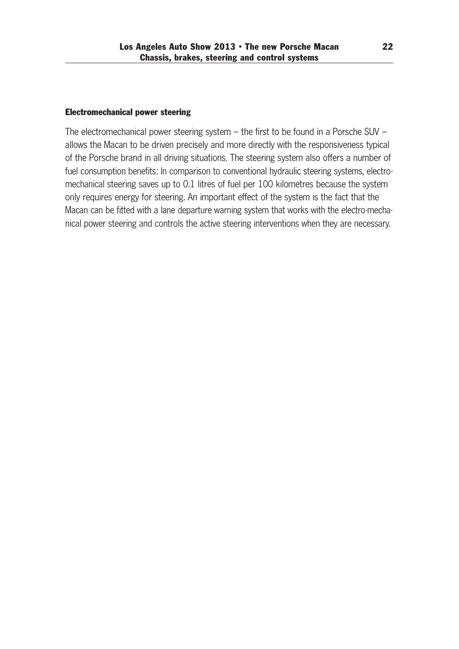### Electromechanical power steering

The electromechanical power steering system – the first to be found in a Porsche SUV – allows the Macan to be driven precisely and more directly with the responsiveness typical of the Porsche brand in all driving situations. The steering system also offers a number of fuel consumption benefits: In comparison to conventional hydraulic steering systems, electro mechanical steering saves up to 0.1 litres of fuel per 100 kilometres because the system only requires energy for steering. An important effect of the system is the fact that the Macan can be fitted with a lane departure warning system that works with the electro-mechanical power steering and controls the active steering interventions when they are necessary.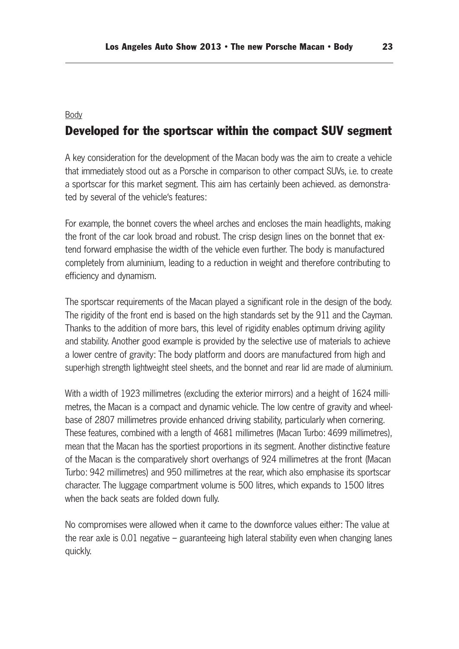#### Body

# Developed for the sportscar within the compact SUV segment

A key consideration for the development of the Macan body was the aim to create a vehicle that immediately stood out as a Porsche in comparison to other compact SUVs, i.e. to create a sportscar for this market segment. This aim has certainly been achieved. as demonstra ted by several of the vehicle's features:

For example, the bonnet covers the wheel arches and encloses the main headlights, making the front of the car look broad and robust. The crisp design lines on the bonnet that extend forward emphasise the width of the vehicle even further. The body is manufactured completely from aluminium, leading to a reduction in weight and therefore contributing to efficiency and dynamism.

The sportscar requirements of the Macan played a significant role in the design of the body. The rigidity of the front end is based on the high standards set by the 911 and the Cayman. Thanks to the addition of more bars, this level of rigidity enables optimum driving agility and stability. Another good example is provided by the selective use of materials to achieve a lower centre of gravity: The body platform and doors are manufactured from high and super-high strength lightweight steel sheets, and the bonnet and rear lid are made of aluminium.

With a width of 1923 millimetres (excluding the exterior mirrors) and a height of 1624 millimetres, the Macan is a compact and dynamic vehicle. The low centre of gravity and wheelbase of 2807 millimetres provide enhanced driving stability, particularly when cornering. These features, combined with a length of 4681 millimetres (Macan Turbo: 4699 millimetres), mean that the Macan has the sportiest proportions in its segment. Another distinctive feature of the Macan is the comparatively short overhangs of 924 millimetres at the front (Macan Turbo: 942 millimetres) and 950 millimetres at the rear, which also emphasise its sportscar character. The luggage compartment volume is 500 litres, which expands to 1500 litres when the back seats are folded down fully.

No compromises were allowed when it came to the downforce values either: The value at the rear axle is 0.01 negative – guaranteeing high lateral stability even when changing lanes quickly.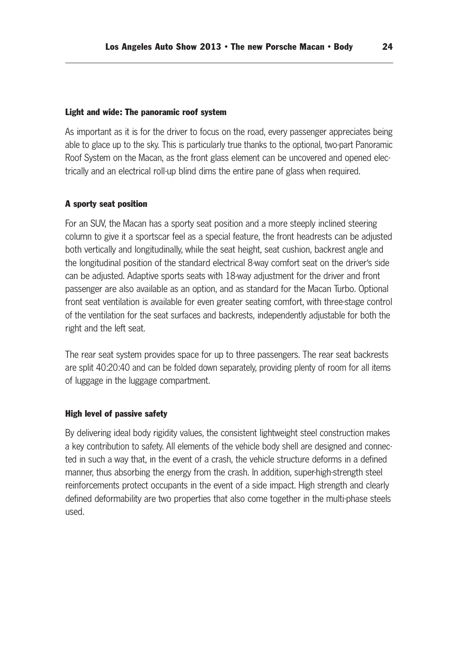#### Light and wide: The panoramic roof system

As important as it is for the driver to focus on the road, every passenger appreciates being able to glace up to the sky. This is particularly true thanks to the optional, two-part Panoramic Roof System on the Macan, as the front glass element can be uncovered and opened electrically and an electrical roll-up blind dims the entire pane of glass when required.

#### A sporty seat position

For an SUV, the Macan has a sporty seat position and a more steeply inclined steering column to give it a sportscar feel as a special feature, the front headrests can be adjusted both vertically and longitudinally, while the seat height, seat cushion, backrest angle and the longitudinal position of the standard electrical 8-way comfort seat on the driver's side can be adjusted. Adaptive sports seats with 18-way adjustment for the driver and front passenger are also available as an option, and as standard for the Macan Turbo. Optional front seat ventilation is available for even greater seating comfort, with three-stage control of the ventilation for the seat surfaces and backrests, independently adjustable for both the right and the left seat.

The rear seat system provides space for up to three passengers. The rear seat backrests are split 40:20:40 and can be folded down separately, providing plenty of room for all items of luggage in the luggage compartment.

#### High level of passive safety

By delivering ideal body rigidity values, the consistent lightweight steel construction makes a key contribution to safety. All elements of the vehicle body shell are designed and connected in such a way that, in the event of a crash, the vehicle structure deforms in a defined manner, thus absorbing the energy from the crash. In addition, super-high-strength steel reinforcements protect occupants in the event of a side impact. High strength and clearly defined deformability are two properties that also come together in the multi-phase steels used.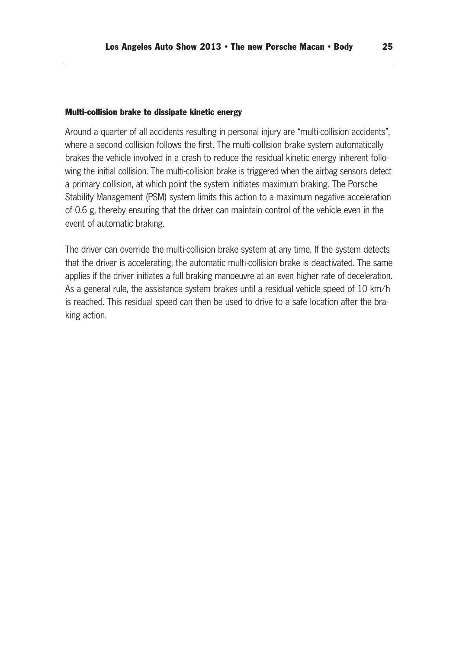#### Multi-collision brake to dissipate kinetic energy

Around a quarter of all accidents resulting in personal injury are "multi-collision accidents", where a second collision follows the first. The multi-collision brake system automatically brakes the vehicle involved in a crash to reduce the residual kinetic energy inherent following the initial collision. The multi-collision brake is triggered when the airbag sensors detect a primary collision, at which point the system initiates maximum braking. The Porsche Stability Management (PSM) system limits this action to a maximum negative acceleration of 0.6 g, thereby ensuring that the driver can maintain control of the vehicle even in the event of automatic braking.

The driver can override the multi-collision brake system at any time. If the system detects that the driver is accelerating, the automatic multi-collision brake is deactivated. The same applies if the driver initiates a full braking manoeuvre at an even higher rate of deceleration. As a general rule, the assistance system brakes until a residual vehicle speed of 10 km/h is reached. This residual speed can then be used to drive to a safe location after the braking action.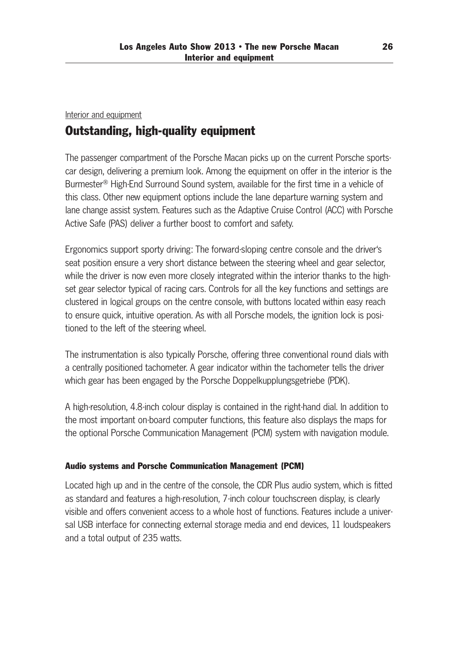# Interior and equipment Outstanding, high-quality equipment

The passenger compartment of the Porsche Macan picks up on the current Porsche sports car design, delivering a premium look. Among the equipment on offer in the interior is the Burmester® High-End Surround Sound system, available for the first time in a vehicle of this class. Other new equipment options include the lane departure warning system and lane change assist system. Features such as the Adaptive Cruise Control (ACC) with Porsche Active Safe (PAS) deliver a further boost to comfort and safety.

Ergonomics support sporty driving: The forward-sloping centre console and the driver's seat position ensure a very short distance between the steering wheel and gear selector, while the driver is now even more closely integrated within the interior thanks to the highset gear selector typical of racing cars. Controls for all the key functions and settings are clustered in logical groups on the centre console, with buttons located within easy reach to ensure quick, intuitive operation. As with all Porsche models, the ignition lock is posi tioned to the left of the steering wheel.

The instrumentation is also typically Porsche, offering three conventional round dials with a centrally positioned tachometer. A gear indicator within the tachometer tells the driver which gear has been engaged by the Porsche Doppelkupplungsgetriebe (PDK).

A high-resolution, 4.8-inch colour display is contained in the right-hand dial. In addition to the most important on-board computer functions, this feature also displays the maps for the optional Porsche Communication Management (PCM) system with navigation module.

# Audio systems and Porsche Communication Management (PCM)

Located high up and in the centre of the console, the CDR Plus audio system, which is fitted as standard and features a high-resolution, 7-inch colour touchscreen display, is clearly visible and offers convenient access to a whole host of functions. Features include a univer sal USB interface for connecting external storage media and end devices, 11 loudspeakers and a total output of 235 watts.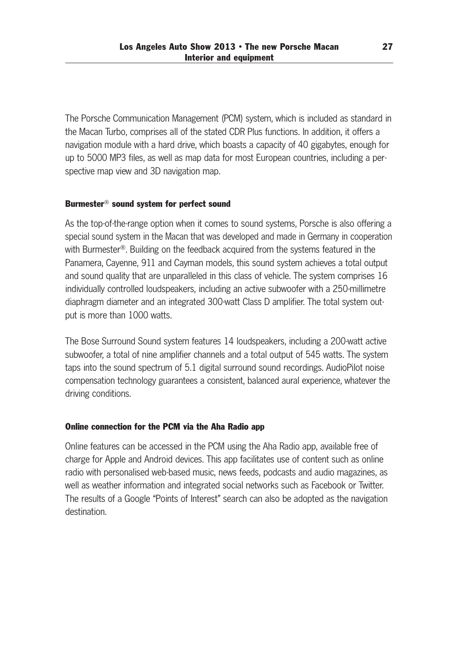The Porsche Communication Management (PCM) system, which is included as standard in the Macan Turbo, comprises all of the stated CDR Plus functions. In addition, it offers a navigation module with a hard drive, which boasts a capacity of 40 gigabytes, enough for up to 5000 MP3 files, as well as map data for most European countries, including a per spective map view and 3D navigation map.

# Burmester® sound system for perfect sound

As the top-of-the-range option when it comes to sound systems, Porsche is also offering a special sound system in the Macan that was developed and made in Germany in cooperation with Burmester<sup>®</sup>. Building on the feedback acquired from the systems featured in the Panamera, Cayenne, 911 and Cayman models, this sound system achieves a total output and sound quality that are unparalleled in this class of vehicle. The system comprises 16 individually controlled loudspeakers, including an active subwoofer with a 250-millimetre diaphragm diameter and an integrated 300-watt Class D amplifier. The total system out put is more than 1000 watts.

The Bose Surround Sound system features 14 loudspeakers, including a 200-watt active subwoofer, a total of nine amplifier channels and a total output of 545 watts. The system taps into the sound spectrum of 5.1 digital surround sound recordings. AudioPilot noise compensation technology guarantees a consistent, balanced aural experience, whatever the driving conditions.

# Online connection for the PCM via the Aha Radio app

Online features can be accessed in the PCM using the Aha Radio app, available free of charge for Apple and Android devices. This app facilitates use of content such as online radio with personalised web-based music, news feeds, podcasts and audio magazines, as well as weather information and integrated social networks such as Facebook or Twitter. The results of a Google "Points of Interest" search can also be adopted as the navigation destination.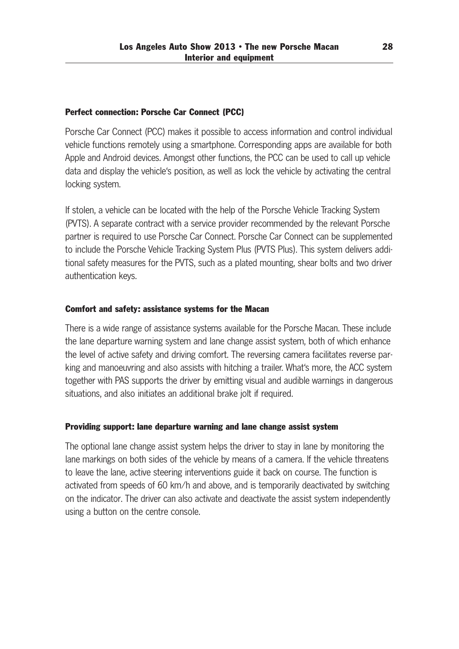### Perfect connection: Porsche Car Connect (PCC)

Porsche Car Connect (PCC) makes it possible to access information and control individual vehicle functions remotely using a smartphone. Corresponding apps are available for both Apple and Android devices. Amongst other functions, the PCC can be used to call up vehicle data and display the vehicle's position, as well as lock the vehicle by activating the central locking system.

If stolen, a vehicle can be located with the help of the Porsche Vehicle Tracking System (PVTS). A separate contract with a service provider recommended by the relevant Porsche partner is required to use Porsche Car Connect. Porsche Car Connect can be supplemented to include the Porsche Vehicle Tracking System Plus (PVTS Plus). This system delivers addi tional safety measures for the PVTS, such as a plated mounting, shear bolts and two driver authentication keys.

# Comfort and safety: assistance systems for the Macan

There is a wide range of assistance systems available for the Porsche Macan. These include the lane departure warning system and lane change assist system, both of which enhance the level of active safety and driving comfort. The reversing camera facilitates reverse par king and manoeuvring and also assists with hitching a trailer. What's more, the ACC system together with PAS supports the driver by emitting visual and audible warnings in dangerous situations, and also initiates an additional brake jolt if required.

### Providing support: lane departure warning and lane change assist system

The optional lane change assist system helps the driver to stay in lane by monitoring the lane markings on both sides of the vehicle by means of a camera. If the vehicle threatens to leave the lane, active steering interventions guide it back on course. The function is activated from speeds of 60 km/h and above, and is temporarily deactivated by switching on the in dicator. The driver can also activate and deactivate the assist system independently using a button on the centre console.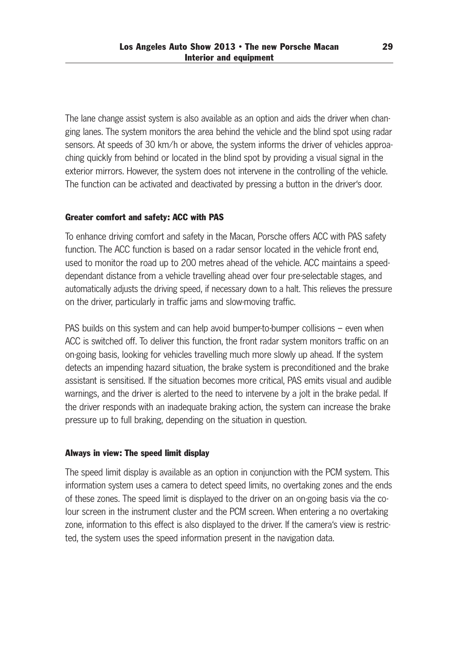The lane change assist system is also available as an option and aids the driver when chan ging lanes. The system monitors the area behind the vehicle and the blind spot using radar sensors. At speeds of 30 km/h or above, the system informs the driver of vehicles approaching quickly from behind or located in the blind spot by providing a visual signal in the exterior mirrors. However, the system does not intervene in the controlling of the vehicle. The function can be activated and deactivated by pressing a button in the driver's door.

# Greater comfort and safety: ACC with PAS

To enhance driving comfort and safety in the Macan, Porsche offers ACC with PAS safety function. The ACC function is based on a radar sensor located in the vehicle front end, used to monitor the road up to 200 metres ahead of the vehicle. ACC maintains a speeddependant distance from a vehicle travelling ahead over four pre-selectable stages, and automatically adjusts the driving speed, if necessary down to a halt. This relieves the pressure on the driver, particularly in traffic jams and slow-moving traffic.

PAS builds on this system and can help avoid bumper-to-bumper collisions – even when ACC is switched off. To deliver this function, the front radar system monitors traffic on an on-going basis, looking for vehicles travelling much more slowly up ahead. If the system detects an impending hazard situation, the brake system is preconditioned and the brake assistant is sensitised. If the situation becomes more critical, PAS emits visual and audible warnings, and the driver is alerted to the need to intervene by a jolt in the brake pedal. If the driver responds with an inadequate braking action, the system can increase the brake pressure up to full braking, depending on the situation in question.

### Always in view: The speed limit display

The speed limit display is available as an option in conjunction with the PCM system. This information system uses a camera to detect speed limits, no overtaking zones and the ends of these zones. The speed limit is displayed to the driver on an on-going basis via the co lour screen in the instrument cluster and the PCM screen. When entering a no overtaking zone, information to this effect is also displayed to the driver. If the camera's view is restric ted, the system uses the speed information present in the navigation data.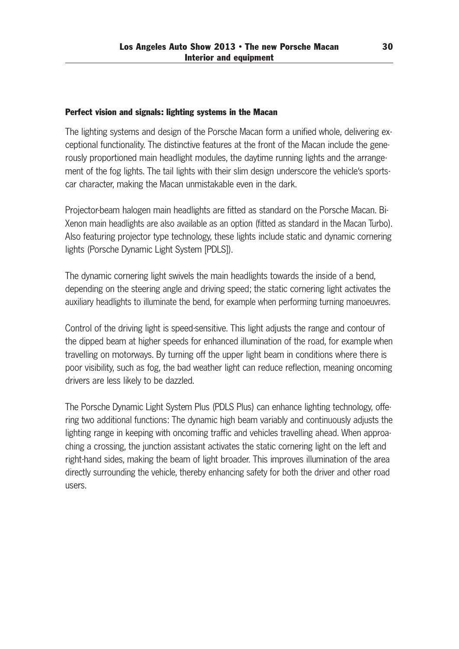# Perfect vision and signals: lighting systems in the Macan

The lighting systems and design of the Porsche Macan form a unified whole, delivering ex ceptional functionality. The distinctive features at the front of the Macan include the gene rously proportioned main headlight modules, the daytime running lights and the arrange ment of the fog lights. The tail lights with their slim design underscore the vehicle's sportscar character, making the Macan unmistakable even in the dark.

Projector-beam halogen main headlights are fitted as standard on the Porsche Macan. Bi-Xenon main headlights are also available as an option (fitted as standard in the Macan Turbo). Also featuring projector type technology, these lights include static and dynamic cornering lights (Porsche Dynamic Light System [PDLS]).

The dynamic cornering light swivels the main headlights towards the inside of a bend, depending on the steering angle and driving speed; the static cornering light activates the auxiliary headlights to illuminate the bend, for example when performing turning manoeuvres.

Control of the driving light is speed-sensitive. This light adjusts the range and contour of the dipped beam at higher speeds for enhanced illumination of the road, for example when travelling on motorways. By turning off the upper light beam in conditions where there is poor visibility, such as fog, the bad weather light can reduce reflection, meaning oncoming drivers are less likely to be dazzled.

The Porsche Dynamic Light System Plus (PDLS Plus) can enhance lighting technology, offe ring two additional functions: The dynamic high beam variably and continuously adjusts the lighting range in keeping with oncoming traffic and vehicles travelling ahead. When approaching a crossing, the junction assistant activates the static cornering light on the left and right-hand sides, making the beam of light broader. This improves illumination of the area directly surrounding the vehicle, thereby enhancing safety for both the driver and other road users.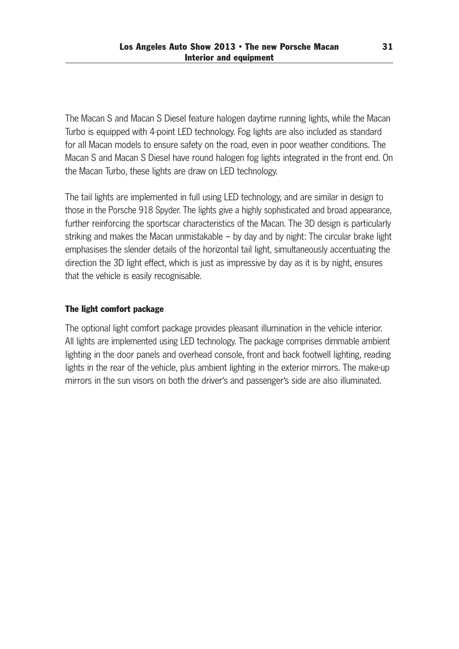The Macan S and Macan S Diesel feature halogen daytime running lights, while the Macan Turbo is equipped with 4-point LED technology. Fog lights are also included as standard for all Macan models to ensure safety on the road, even in poor weather conditions. The Macan S and Macan S Diesel have round halogen fog lights integrated in the front end. On the Macan Turbo, these lights are draw on LED technology.

The tail lights are implemented in full using LED technology, and are similar in design to those in the Porsche 918 Spyder. The lights give a highly sophisticated and broad appearance, further reinforcing the sportscar characteristics of the Macan. The 3D design is particularly striking and makes the Macan unmistakable – by day and by night: The circular brake light emphasises the slender details of the horizontal tail light, simultaneously accentuating the direction the 3D light effect, which is just as impressive by day as it is by night, ensures that the vehicle is easily recognisable.

# The light comfort package

The optional light comfort package provides pleasant illumination in the vehicle interior. All lights are implemented using LED technology. The package comprises dimmable ambient lighting in the door panels and overhead console, front and back footwell lighting, reading lights in the rear of the vehicle, plus ambient lighting in the exterior mirrors. The make-up mirrors in the sun visors on both the driver's and passenger's side are also illuminated.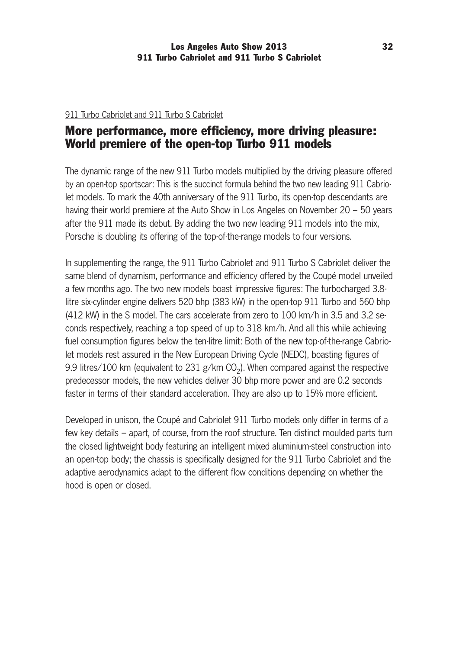# 911 Turbo Cabriolet and 911 Turbo S Cabriolet

# More performance, more efficiency, more driving pleasure: World premiere of the open-top Turbo 911 models

The dynamic range of the new 911 Turbo models multiplied by the driving pleasure offered by an open-top sportscar: This is the succinct formula behind the two new leading 911 Cabrio let models. To mark the 40th anniversary of the 911 Turbo, its open-top descendants are having their world premiere at the Auto Show in Los Angeles on November 20 – 50 years after the 911 made its debut. By adding the two new leading 911 models into the mix, Porsche is doubling its offering of the top-of-the-range models to four versions.

In supplementing the range, the 911 Turbo Cabriolet and 911 Turbo S Cabriolet deliver the same blend of dynamism, performance and efficiency offered by the Coupé model unveiled a few months ago. The two new models boast impressive figures: The turbocharged 3.8 litre six-cylinder engine delivers 520 bhp (383 kW) in the open-top 911 Turbo and 560 bhp (412 kW) in the S model. The cars accelerate from zero to 100 km/h in 3.5 and 3.2 seconds respectively, reaching a top speed of up to 318 km/h. And all this while achieving fuel consumption figures below the ten-litre limit: Both of the new top-of-the-range Cabriolet models rest assured in the New European Driving Cycle (NEDC), boasting figures of 9.9 litres/100 km (equivalent to 231 g/km  $CO<sub>2</sub>$ ). When compared against the respective predecessor models, the new vehicles deliver 30 bhp more power and are 0.2 seconds faster in terms of their standard acceleration. They are also up to 15% more efficient.

Developed in unison, the Coupé and Cabriolet 911 Turbo models only differ in terms of a few key details – apart, of course, from the roof structure. Ten distinct moulded parts turn the closed lightweight body featuring an intelligent mixed aluminium-steel construction into an open-top body; the chassis is specifically designed for the 911 Turbo Cabriolet and the adaptive aerodynamics adapt to the different flow conditions depending on whether the hood is open or closed.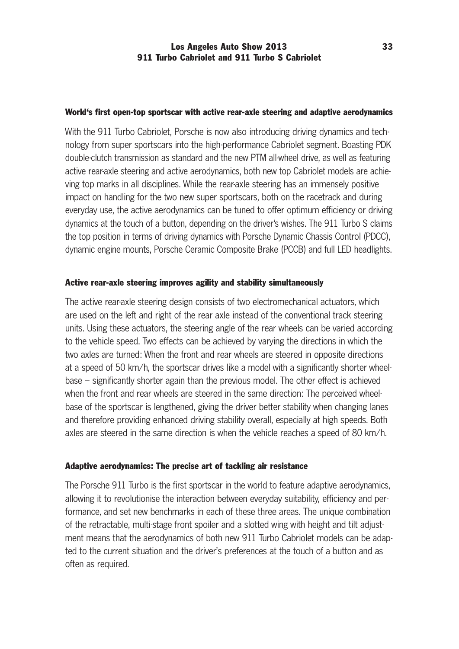### World's first open-top sportscar with active rear-axle steering and adaptive aerodynamics

With the 911 Turbo Cabriolet, Porsche is now also introducing driving dynamics and technology from super sportscars into the high-performance Cabriolet segment. Boasting PDK double-clutch transmission as standard and the new PTM all-wheel drive, as well as featuring active rear-axle steering and active aerodynamics, both new top Cabriolet models are achie ving top marks in all disciplines. While the rear-axle steering has an immensely positive impact on handling for the two new super sportscars, both on the racetrack and during everyday use, the active aerodynamics can be tuned to offer optimum efficiency or driving dynamics at the touch of a button, depending on the driver's wishes. The 911 Turbo S claims the top position in terms of driving dynamics with Porsche Dynamic Chassis Control (PDCC), dynamic engine mounts, Porsche Ceramic Composite Brake (PCCB) and full LED headlights.

# Active rear-axle steering improves agility and stability simultaneously

The active rear-axle steering design consists of two electromechanical actuators, which are used on the left and right of the rear axle instead of the conventional track steering units. Using these actuators, the steering angle of the rear wheels can be varied according to the vehicle speed. Two effects can be achieved by varying the directions in which the two axles are turned: When the front and rear wheels are steered in opposite directions at a speed of 50 km/h, the sportscar drives like a model with a significantly shorter wheelbase – significantly shorter again than the previous model. The other effect is achieved when the front and rear wheels are steered in the same direction: The perceived wheelbase of the sportscar is lengthened, giving the driver better stability when changing lanes and therefore providing enhanced driving stability overall, especially at high speeds. Both axles are steered in the same direction is when the vehicle reaches a speed of 80 km/h.

# Adaptive aerodynamics: The precise art of tackling air resistance

The Porsche 911 Turbo is the first sportscar in the world to feature adaptive aerodynamics, allowing it to revolutionise the interaction between everyday suitability, efficiency and per formance, and set new benchmarks in each of these three areas. The unique combination of the retractable, multi-stage front spoiler and a slotted wing with height and tilt adjust ment means that the aerodynamics of both new 911 Turbo Cabriolet models can be adapted to the current situation and the driver's preferences at the touch of a button and as often as required.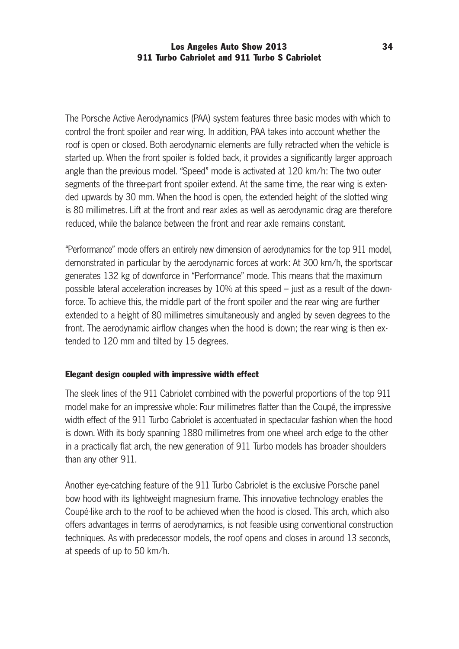The Porsche Active Aerodynamics (PAA) system features three basic modes with which to control the front spoiler and rear wing. In addition, PAA takes into account whether the roof is open or closed. Both aerodynamic elements are fully retracted when the vehicle is started up. When the front spoiler is folded back, it provides a significantly larger approach angle than the previous model. "Speed" mode is activated at 120 km/h: The two outer segments of the three-part front spoiler extend. At the same time, the rear wing is extended upwards by 30 mm. When the hood is open, the extended height of the slotted wing is 80 millimetres. Lift at the front and rear axles as well as aerodynamic drag are therefore reduced, while the balance between the front and rear axle remains constant.

"Performance" mode offers an entirely new dimension of aerodynamics for the top 911 model, demonstrated in particular by the aerodynamic forces at work: At 300 km/h, the sportscar generates 132 kg of downforce in "Performance" mode. This means that the maximum possible lateral acceleration increases by  $10\%$  at this speed – just as a result of the downforce. To achieve this, the middle part of the front spoiler and the rear wing are further extended to a height of 80 millimetres simultaneously and angled by seven degrees to the front. The aerodynamic airflow changes when the hood is down; the rear wing is then extended to 120 mm and tilted by 15 degrees.

# Elegant design coupled with impressive width effect

The sleek lines of the 911 Cabriolet combined with the powerful proportions of the top 911 model make for an impressive whole: Four millimetres flatter than the Coupé, the impressive width effect of the 911 Turbo Cabriolet is accentuated in spectacular fashion when the hood is down. With its body spanning 1880 millimetres from one wheel arch edge to the other in a practically flat arch, the new generation of 911 Turbo models has broader shoulders than any other 911.

Another eye-catching feature of the 911 Turbo Cabriolet is the exclusive Porsche panel bow hood with its lightweight magnesium frame. This innovative technology enables the Coupé-like arch to the roof to be achieved when the hood is closed. This arch, which also offers advantages in terms of aerodynamics, is not feasible using conventional construction techniques. As with predecessor models, the roof opens and closes in around 13 seconds, at speeds of up to 50 km/h.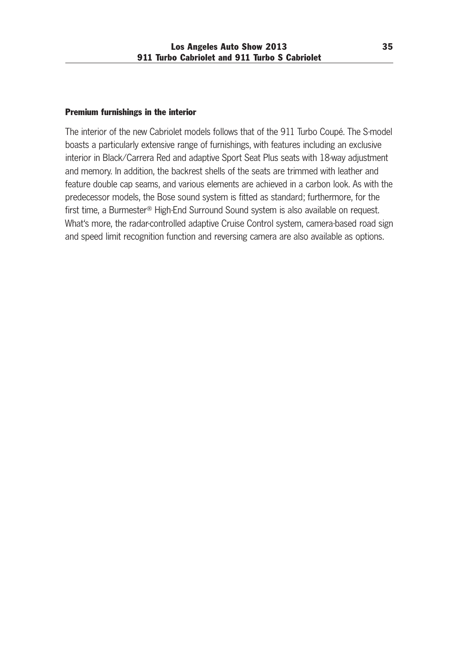### Premium furnishings in the interior

The interior of the new Cabriolet models follows that of the 911 Turbo Coupé. The S-model boasts a particularly extensive range of furnishings, with features including an exclusive interior in Black/Carrera Red and adaptive Sport Seat Plus seats with 18-way adjustment and memory. In addition, the backrest shells of the seats are trimmed with leather and feature double cap seams, and various elements are achieved in a carbon look. As with the predecessor models, the Bose sound system is fitted as standard; furthermore, for the first time, a Burmester® High-End Surround Sound system is also available on request. What's more, the radar-controlled adaptive Cruise Control system, camera-based road sign and speed limit recognition function and reversing camera are also available as options.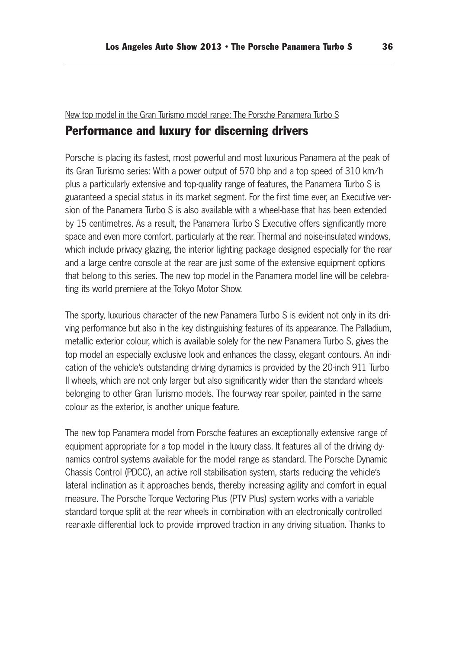### New top model in the Gran Turismo model range: The Porsche Panamera Turbo S

# Performance and luxury for discerning drivers

Porsche is placing its fastest, most powerful and most luxurious Panamera at the peak of its Gran Turismo series: With a power output of 570 bhp and a top speed of 310 km/h plus a particularly extensive and top-quality range of features, the Panamera Turbo S is guaranteed a special status in its market segment. For the first time ever, an Executive ver sion of the Panamera Turbo S is also available with a wheel-base that has been extended by 15 centimetres. As a result, the Panamera Turbo S Executive offers significantly more space and even more comfort, particularly at the rear. Thermal and noise-insulated windows, which include privacy glazing, the interior lighting package designed especially for the rear and a large centre console at the rear are just some of the extensive equipment options that belong to this series. The new top model in the Panamera model line will be celebra ting its world premiere at the Tokyo Motor Show.

The sporty, luxurious character of the new Panamera Turbo S is evident not only in its driving performance but also in the key distinguishing features of its appearance. The Palladium, metallic exterior colour, which is available solely for the new Panamera Turbo S, gives the top model an especially exclusive look and enhances the classy, elegant contours. An indi cation of the vehicle's outstanding driving dynamics is provided by the 20-inch 911 Turbo II wheels, which are not only larger but also significantly wider than the standard wheels belonging to other Gran Turismo models. The four-way rear spoiler, painted in the same colour as the exterior, is another unique feature.

The new top Panamera model from Porsche features an exceptionally extensive range of equipment appropriate for a top model in the luxury class. It features all of the driving dynamics control systems available for the model range as standard. The Porsche Dynamic Chassis Control (PDCC), an active roll stabilisation system, starts reducing the vehicle's lateral inclination as it approaches bends, thereby increasing agility and comfort in equal measure. The Porsche Torque Vectoring Plus (PTV Plus) system works with a variable standard torque split at the rear wheels in combination with an electronically controlled rear-axle differential lock to provide improved traction in any driving situation. Thanks to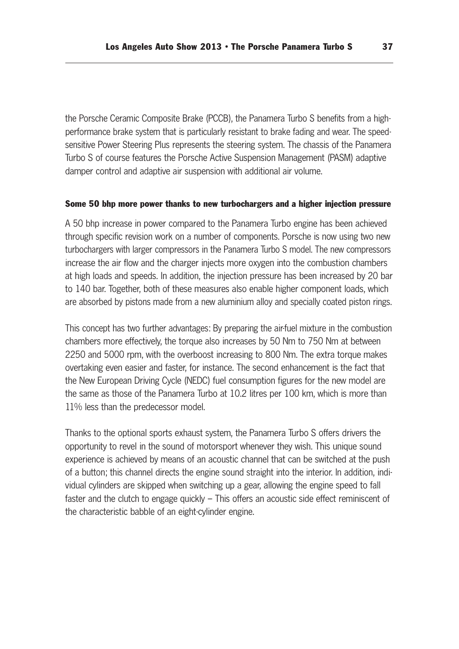the Porsche Ceramic Composite Brake (PCCB), the Panamera Turbo S benefits from a high performance brake system that is particularly resistant to brake fading and wear. The speed sensitive Power Steering Plus represents the steering system. The chassis of the Panamera Turbo S of course features the Porsche Active Suspension Management (PASM) adaptive damper control and adaptive air suspension with additional air volume.

#### Some 50 bhp more power thanks to new turbochargers and a higher injection pressure

A 50 bhp increase in power compared to the Panamera Turbo engine has been achieved through specific revision work on a number of components. Porsche is now using two new turbochargers with larger compressors in the Panamera Turbo S model. The new compressors increase the air flow and the charger injects more oxygen into the combustion chambers at high loads and speeds. In addition, the injection pressure has been increased by 20 bar to 140 bar. Together, both of these measures also enable higher component loads, which are absorbed by pistons made from a new aluminium alloy and specially coated piston rings.

This concept has two further advantages: By preparing the air-fuel mixture in the combustion chambers more effectively, the torque also increases by 50 Nm to 750 Nm at between 2250 and 5000 rpm, with the overboost increasing to 800 Nm. The extra torque makes overtaking even easier and faster, for instance. The second enhancement is the fact that the New European Driving Cycle (NEDC) fuel consumption figures for the new model are the same as those of the Panamera Turbo at 10.2 litres per 100 km, which is more than 11% less than the predecessor model.

Thanks to the optional sports exhaust system, the Panamera Turbo S offers drivers the opportunity to revel in the sound of motorsport whenever they wish. This unique sound experience is achieved by means of an acoustic channel that can be switched at the push of a button; this channel directs the engine sound straight into the interior. In addition, individual cylinders are skipped when switching up a gear, allowing the engine speed to fall faster and the clutch to engage quickly – This offers an acoustic side effect reminiscent of the characteristic babble of an eight-cylinder engine.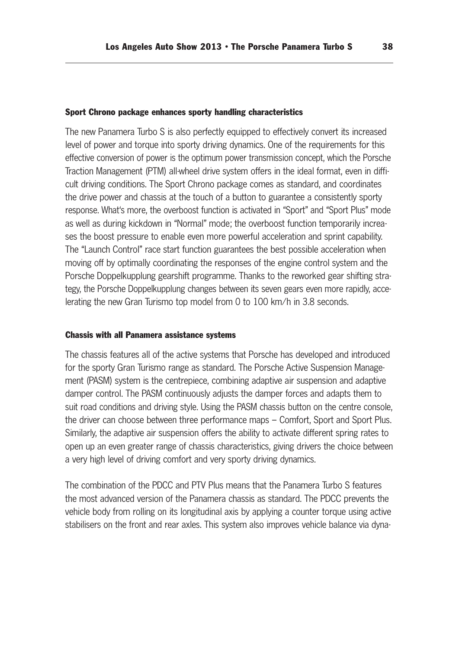#### Sport Chrono package enhances sporty handling characteristics

The new Panamera Turbo S is also perfectly equipped to effectively convert its increased level of power and torque into sporty driving dynamics. One of the requirements for this effective conversion of power is the optimum power transmission concept, which the Porsche Traction Management (PTM) all-wheel drive system offers in the ideal format, even in difficult driving conditions. The Sport Chrono package comes as standard, and coordinates the drive power and chassis at the touch of a button to guarantee a consistently sporty response. What's more, the overboost function is activated in "Sport" and "Sport Plus" mode as well as during kickdown in "Normal" mode; the overboost function temporarily increa ses the boost pressure to enable even more powerful acceleration and sprint capability. The "Launch Control" race start function guarantees the best possible acceleration when moving off by optimally coordinating the responses of the engine control system and the Porsche Doppelkupplung gearshift programme. Thanks to the reworked gear shifting strategy, the Porsche Doppelkupplung changes between its seven gears even more rapidly, acce lerating the new Gran Turismo top model from 0 to 100 km/h in 3.8 seconds.

#### Chassis with all Panamera assistance systems

The chassis features all of the active systems that Porsche has developed and introduced for the sporty Gran Turismo range as standard. The Porsche Active Suspension Manage ment (PASM) system is the centrepiece, combining adaptive air suspension and adaptive damper control. The PASM continuously adjusts the damper forces and adapts them to suit road conditions and driving style. Using the PASM chassis button on the centre console, the driver can choose between three performance maps – Comfort, Sport and Sport Plus. Similarly, the adaptive air suspension offers the ability to activate different spring rates to open up an even greater range of chassis characteristics, giving drivers the choice between a very high level of driving comfort and very sporty driving dynamics.

The combination of the PDCC and PTV Plus means that the Panamera Turbo S features the most advanced version of the Panamera chassis as standard. The PDCC prevents the vehicle body from rolling on its longitudinal axis by applying a counter torque using active stabilisers on the front and rear axles. This system also improves vehicle balance via dyna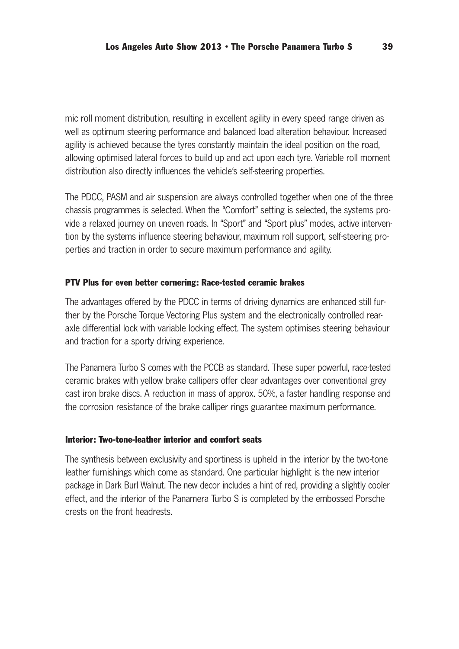mic roll moment distribution, resulting in excellent agility in every speed range driven as well as optimum steering performance and balanced load alteration behaviour. Increased agility is achieved because the tyres constantly maintain the ideal position on the road, allowing optimised lateral forces to build up and act upon each tyre. Variable roll moment distribution also directly influences the vehicle's self-steering properties.

The PDCC, PASM and air suspension are always controlled together when one of the three chassis programmes is selected. When the "Comfort" setting is selected, the systems pro vide a relaxed journey on uneven roads. In "Sport" and "Sport plus" modes, active intervention by the systems influence steering behaviour, maximum roll support, self-steering pro perties and traction in order to secure maximum performance and agility.

# PTV Plus for even better cornering: Race-tested ceramic brakes

The advantages offered by the PDCC in terms of driving dynamics are enhanced still fur ther by the Porsche Torque Vectoring Plus system and the electronically controlled rearaxle differential lock with variable locking effect. The system optimises steering behaviour and traction for a sporty driving experience.

The Panamera Turbo S comes with the PCCB as standard. These super powerful, race-tested ceramic brakes with yellow brake callipers offer clear advantages over conventional grey cast iron brake discs. A reduction in mass of approx. 50%, a faster handling response and the corrosion resistance of the brake calliper rings guarantee maximum performance.

### Interior: Two-tone-leather interior and comfort seats

The synthesis between exclusivity and sportiness is upheld in the interior by the two-tone leather furnishings which come as standard. One particular highlight is the new interior package in Dark Burl Walnut. The new decor includes a hint of red, providing a slightly cooler effect, and the interior of the Panamera Turbo S is completed by the embossed Porsche crests on the front headrests.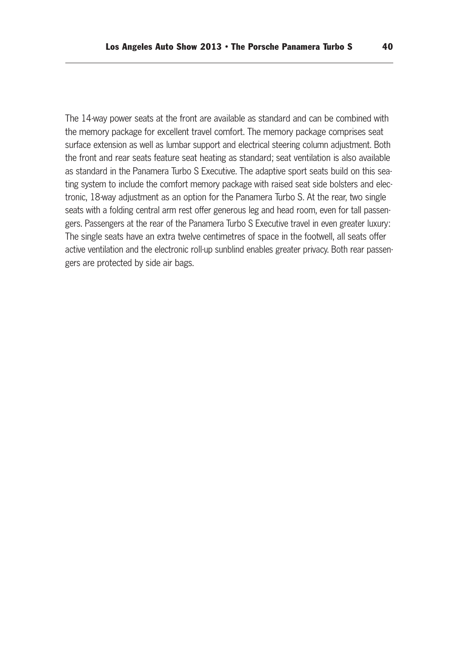The 14-way power seats at the front are available as standard and can be combined with the memory package for excellent travel comfort. The memory package comprises seat surface extension as well as lumbar support and electrical steering column adjustment. Both the front and rear seats feature seat heating as standard; seat ventilation is also available as standard in the Panamera Turbo S Executive. The adaptive sport seats build on this sea ting system to include the comfort memory package with raised seat side bolsters and elec tronic, 18-way adjustment as an option for the Panamera Turbo S. At the rear, two single seats with a folding central arm rest offer generous leg and head room, even for tall passengers. Passengers at the rear of the Panamera Turbo S Executive travel in even greater luxury: The single seats have an extra twelve centimetres of space in the footwell, all seats offer active ventilation and the electronic roll-up sunblind enables greater privacy. Both rear passengers are protected by side air bags.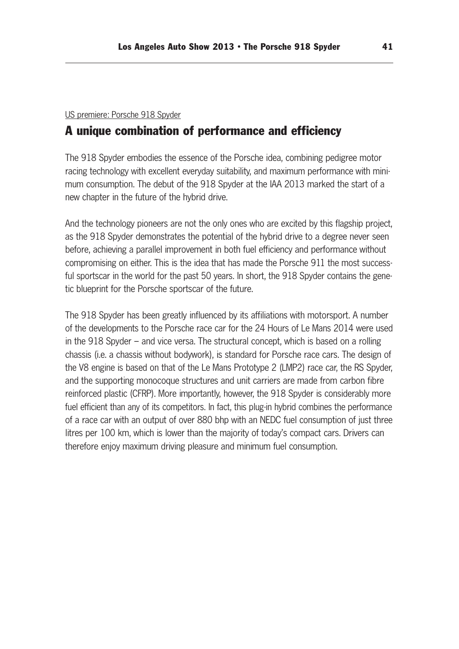### US premiere: Porsche 918 Spyder

# A unique combination of performance and efficiency

The 918 Spyder embodies the essence of the Porsche idea, combining pedigree motor racing technology with excellent everyday suitability, and maximum performance with mini mum consumption. The debut of the 918 Spyder at the IAA 2013 marked the start of a new chapter in the future of the hybrid drive.

And the technology pioneers are not the only ones who are excited by this flagship project, as the 918 Spyder demonstrates the potential of the hybrid drive to a degree never seen before, achieving a parallel improvement in both fuel efficiency and performance without compromising on either. This is the idea that has made the Porsche 911 the most success ful sportscar in the world for the past 50 years. In short, the 918 Spyder contains the genetic blueprint for the Porsche sportscar of the future.

The 918 Spyder has been greatly influenced by its affiliations with motorsport. A number of the developments to the Porsche race car for the 24 Hours of Le Mans 2014 were used in the 918 Spyder – and vice versa. The structural concept, which is based on a rolling chassis (i.e. a chassis without bodywork), is standard for Porsche race cars. The design of the V8 engine is based on that of the Le Mans Prototype 2 (LMP2) race car, the RS Spyder, and the supporting monocoque structures and unit carriers are made from carbon fibre reinforced plastic (CFRP). More importantly, however, the 918 Spyder is considerably more fuel efficient than any of its competitors. In fact, this plug-in hybrid combines the performance of a race car with an output of over 880 bhp with an NEDC fuel consumption of just three litres per 100 km, which is lower than the majority of today's compact cars. Drivers can therefore enjoy maximum driving pleasure and minimum fuel consumption.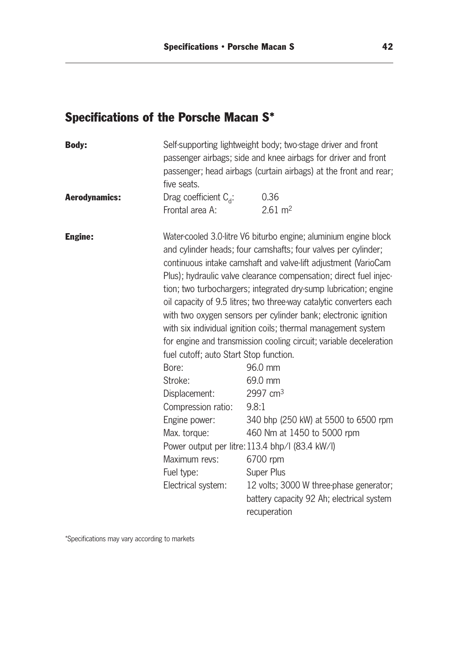# Specifications of the Porsche Macan S\*

| Self-supporting lightweight body; two-stage driver and front<br>passenger airbags; side and knee airbags for driver and front<br>passenger; head airbags (curtain airbags) at the front and rear;<br>five seats.                                                                                                                                                                                                                                                                                                                                                                                                                                                                                                                                                                                                                              |  |  |
|-----------------------------------------------------------------------------------------------------------------------------------------------------------------------------------------------------------------------------------------------------------------------------------------------------------------------------------------------------------------------------------------------------------------------------------------------------------------------------------------------------------------------------------------------------------------------------------------------------------------------------------------------------------------------------------------------------------------------------------------------------------------------------------------------------------------------------------------------|--|--|
|                                                                                                                                                                                                                                                                                                                                                                                                                                                                                                                                                                                                                                                                                                                                                                                                                                               |  |  |
|                                                                                                                                                                                                                                                                                                                                                                                                                                                                                                                                                                                                                                                                                                                                                                                                                                               |  |  |
| Water-cooled 3.0-litre V6 biturbo engine; aluminium engine block<br>and cylinder heads; four camshafts; four valves per cylinder;<br>continuous intake camshaft and valve-lift adjustment (VarioCam<br>Plus); hydraulic valve clearance compensation; direct fuel injec-<br>tion; two turbochargers; integrated dry-sump lubrication; engine<br>oil capacity of 9.5 litres; two three-way catalytic converters each<br>with two oxygen sensors per cylinder bank; electronic ignition<br>with six individual ignition coils; thermal management system<br>for engine and transmission cooling circuit; variable deceleration<br>340 bhp (250 kW) at 5500 to 6500 rpm<br>460 Nm at 1450 to 5000 rpm<br>Power output per litre: 113.4 bhp/l (83.4 kW/l)<br>12 volts; 3000 W three-phase generator;<br>battery capacity 92 Ah; electrical system |  |  |
|                                                                                                                                                                                                                                                                                                                                                                                                                                                                                                                                                                                                                                                                                                                                                                                                                                               |  |  |

\*Specifications may vary according to markets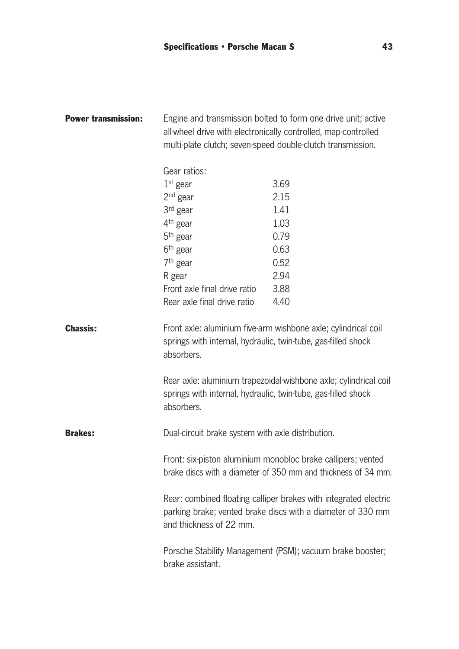| <b>Power transmission:</b> | Engine and transmission bolted to form one drive unit; active<br>all-wheel drive with electronically controlled, map-controlled<br>multi-plate clutch; seven-speed double-clutch transmission. |                                                                                                                                    |  |
|----------------------------|------------------------------------------------------------------------------------------------------------------------------------------------------------------------------------------------|------------------------------------------------------------------------------------------------------------------------------------|--|
|                            | Gear ratios:                                                                                                                                                                                   |                                                                                                                                    |  |
|                            | $1st$ gear                                                                                                                                                                                     | 3.69                                                                                                                               |  |
|                            | $2nd$ gear                                                                                                                                                                                     | 2.15                                                                                                                               |  |
|                            | 3 <sup>rd</sup> gear                                                                                                                                                                           | 1.41                                                                                                                               |  |
|                            | 4 <sup>th</sup> gear                                                                                                                                                                           | 1.03                                                                                                                               |  |
|                            | $5th$ gear                                                                                                                                                                                     | 0.79                                                                                                                               |  |
|                            | $6th$ gear                                                                                                                                                                                     | 0.63                                                                                                                               |  |
|                            | $7th$ gear                                                                                                                                                                                     | 0.52                                                                                                                               |  |
|                            | R gear                                                                                                                                                                                         | 2.94                                                                                                                               |  |
|                            | Front axle final drive ratio                                                                                                                                                                   | 3.88                                                                                                                               |  |
|                            | Rear axle final drive ratio                                                                                                                                                                    | 4.40                                                                                                                               |  |
| <b>Chassis:</b>            | springs with internal, hydraulic, twin-tube, gas-filled shock<br>absorbers.<br>springs with internal, hydraulic, twin-tube, gas-filled shock<br>absorbers.                                     | Front axle: aluminium five-arm wishbone axle; cylindrical coil<br>Rear axle: aluminium trapezoidal-wishbone axle; cylindrical coil |  |
| <b>Brakes:</b>             | Dual-circuit brake system with axle distribution.                                                                                                                                              |                                                                                                                                    |  |
|                            |                                                                                                                                                                                                | Front: six-piston aluminium monobloc brake callipers; vented<br>brake discs with a diameter of 350 mm and thickness of 34 mm.      |  |
|                            | and thickness of 22 mm.                                                                                                                                                                        | Rear: combined floating calliper brakes with integrated electric<br>parking brake; vented brake discs with a diameter of 330 mm    |  |
|                            | brake assistant.                                                                                                                                                                               | Porsche Stability Management (PSM); vacuum brake booster;                                                                          |  |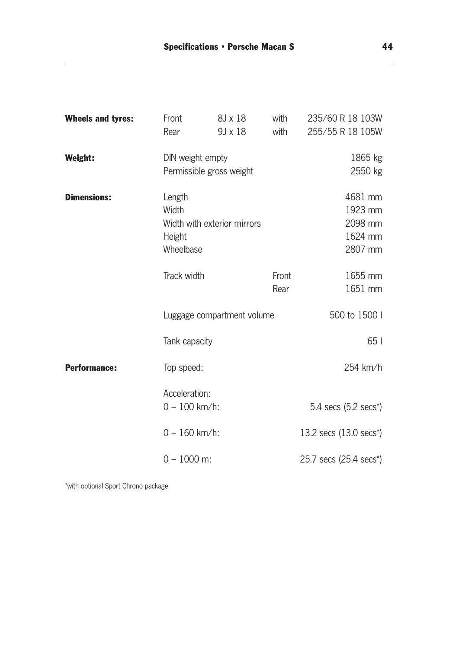| <b>Wheels and tyres:</b> | Front<br>Rear                                                         | 8J x 18<br>9J x 18         | with<br>with  | 235/60 R 18 103W<br>255/55 R 18 105W                |
|--------------------------|-----------------------------------------------------------------------|----------------------------|---------------|-----------------------------------------------------|
| Weight:                  | DIN weight empty<br>Permissible gross weight                          |                            |               | 1865 kg<br>2550 kg                                  |
| <b>Dimensions:</b>       | Length<br>Width<br>Width with exterior mirrors<br>Height<br>Wheelbase |                            |               | 4681 mm<br>1923 mm<br>2098 mm<br>1624 mm<br>2807 mm |
|                          | Track width                                                           |                            | Front<br>Rear | 1655 mm<br>1651 mm                                  |
|                          |                                                                       | Luggage compartment volume |               | 500 to 1500 l                                       |
|                          | Tank capacity                                                         |                            |               | 65                                                  |
| <b>Performance:</b>      | Top speed:                                                            |                            |               | 254 km/h                                            |
|                          | Acceleration:<br>$0 - 100$ km/h:                                      |                            |               | 5.4 secs (5.2 secs*)                                |
|                          | $0 - 160$ km/h:                                                       |                            |               | 13.2 secs (13.0 secs <sup>*</sup> )                 |
|                          | $0 - 1000$ m:                                                         |                            |               | 25.7 secs (25.4 secs*)                              |

\*with optional Sport Chrono package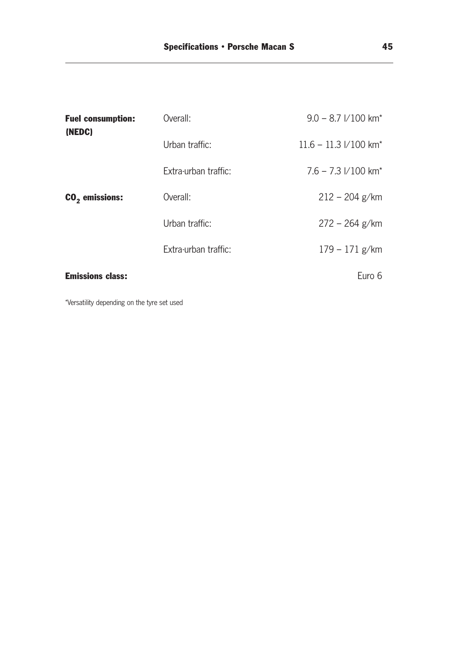| <b>Fuel consumption:</b><br>(NEDC) | Overall:             | $9.0 - 8.7$ $1/100$ km <sup>*</sup>     |
|------------------------------------|----------------------|-----------------------------------------|
|                                    | Urban traffic:       | $11.6 - 11.3 \text{ V}100 \text{ km}^*$ |
|                                    | Extra-urban traffic: | $7.6 - 7.3$ $1/100$ km <sup>*</sup>     |
| $CO2$ emissions:                   | Overall:             | $212 - 204$ g/km                        |
|                                    | Urban traffic:       | $272 - 264$ g/km                        |
|                                    | Extra-urban traffic: | $179 - 171$ g/km                        |
| <b>Emissions class:</b>            |                      | Euro 6                                  |

\*Versatility depending on the tyre set used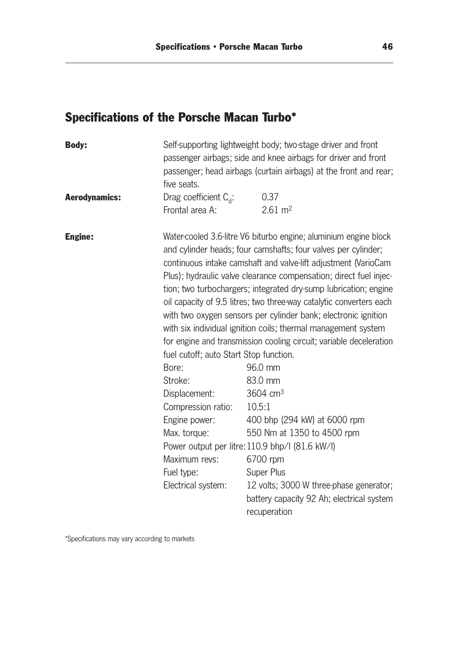# Specifications of the Porsche Macan Turbo\*

| Self-supporting lightweight body; two-stage driver and front<br>passenger airbags; side and knee airbags for driver and front<br>passenger; head airbags (curtain airbags) at the front and rear;<br>five seats. |                                                                                                                                                                                                                                                                                                                                                                                                                                                                                                                                                                                                                                                                                                                                                                                                                                                                                                                                      |  |
|------------------------------------------------------------------------------------------------------------------------------------------------------------------------------------------------------------------|--------------------------------------------------------------------------------------------------------------------------------------------------------------------------------------------------------------------------------------------------------------------------------------------------------------------------------------------------------------------------------------------------------------------------------------------------------------------------------------------------------------------------------------------------------------------------------------------------------------------------------------------------------------------------------------------------------------------------------------------------------------------------------------------------------------------------------------------------------------------------------------------------------------------------------------|--|
|                                                                                                                                                                                                                  | 0.37                                                                                                                                                                                                                                                                                                                                                                                                                                                                                                                                                                                                                                                                                                                                                                                                                                                                                                                                 |  |
| Frontal area A:                                                                                                                                                                                                  | $2.61 \text{ m}^2$                                                                                                                                                                                                                                                                                                                                                                                                                                                                                                                                                                                                                                                                                                                                                                                                                                                                                                                   |  |
| fuel cutoff; auto Start Stop function.<br>Bore:<br>Stroke:<br>Displacement:<br>Compression ratio:<br>Engine power:<br>Max. torque:<br>Maximum revs:<br>Fuel type:<br>Electrical system:                          | Water-cooled 3.6-litre V6 biturbo engine; aluminium engine block<br>and cylinder heads; four camshafts; four valves per cylinder;<br>continuous intake camshaft and valve-lift adjustment (VarioCam<br>Plus); hydraulic valve clearance compensation; direct fuel injec-<br>tion; two turbochargers; integrated dry-sump lubrication; engine<br>oil capacity of 9.5 litres; two three-way catalytic converters each<br>with two oxygen sensors per cylinder bank; electronic ignition<br>with six individual ignition coils; thermal management system<br>for engine and transmission cooling circuit; variable deceleration<br>96.0 mm<br>83.0 mm<br>3604 $cm3$<br>10.5:1<br>400 bhp (294 kW) at 6000 rpm<br>550 Nm at 1350 to 4500 rpm<br>Power output per litre: 110.9 bhp/l (81.6 kW/l)<br>6700 rpm<br><b>Super Plus</b><br>12 volts; 3000 W three-phase generator;<br>battery capacity 92 Ah; electrical system<br>recuperation |  |
|                                                                                                                                                                                                                  | Drag coefficient $C_{d}$ :                                                                                                                                                                                                                                                                                                                                                                                                                                                                                                                                                                                                                                                                                                                                                                                                                                                                                                           |  |

\*Specifications may vary according to markets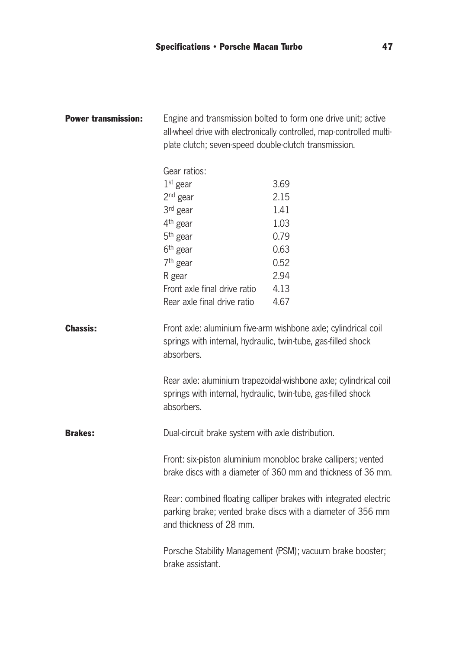| <b>Power transmission:</b> | Engine and transmission bolted to form one drive unit; active<br>all-wheel drive with electronically controlled, map-controlled multi-<br>plate clutch; seven-speed double-clutch transmission. |                                                                                                                                    |  |
|----------------------------|-------------------------------------------------------------------------------------------------------------------------------------------------------------------------------------------------|------------------------------------------------------------------------------------------------------------------------------------|--|
|                            | Gear ratios:                                                                                                                                                                                    |                                                                                                                                    |  |
|                            | $1st$ gear                                                                                                                                                                                      | 3.69                                                                                                                               |  |
|                            | 2 <sup>nd</sup> gear                                                                                                                                                                            | 2.15                                                                                                                               |  |
|                            | $3rd$ gear                                                                                                                                                                                      | 1.41                                                                                                                               |  |
|                            | 4 <sup>th</sup> gear                                                                                                                                                                            | 1.03                                                                                                                               |  |
|                            | $5th$ gear                                                                                                                                                                                      | 0.79                                                                                                                               |  |
|                            | 6 <sup>th</sup> gear                                                                                                                                                                            | 0.63                                                                                                                               |  |
|                            | $7th$ gear                                                                                                                                                                                      | 0.52                                                                                                                               |  |
|                            | R gear                                                                                                                                                                                          | 2.94                                                                                                                               |  |
|                            | Front axle final drive ratio                                                                                                                                                                    | 4.13                                                                                                                               |  |
|                            | Rear axle final drive ratio                                                                                                                                                                     | 4.67                                                                                                                               |  |
| <b>Chassis:</b>            | springs with internal, hydraulic, twin-tube, gas-filled shock<br>absorbers.<br>springs with internal, hydraulic, twin-tube, gas-filled shock<br>absorbers.                                      | Front axle: aluminium five-arm wishbone axle; cylindrical coil<br>Rear axle: aluminium trapezoidal-wishbone axle; cylindrical coil |  |
| <b>Brakes:</b>             | Dual-circuit brake system with axle distribution.                                                                                                                                               |                                                                                                                                    |  |
|                            |                                                                                                                                                                                                 | Front: six-piston aluminium monobloc brake callipers; vented<br>brake discs with a diameter of 360 mm and thickness of 36 mm.      |  |
|                            | and thickness of 28 mm.                                                                                                                                                                         | Rear: combined floating calliper brakes with integrated electric<br>parking brake; vented brake discs with a diameter of 356 mm    |  |
|                            | brake assistant.                                                                                                                                                                                | Porsche Stability Management (PSM); vacuum brake booster;                                                                          |  |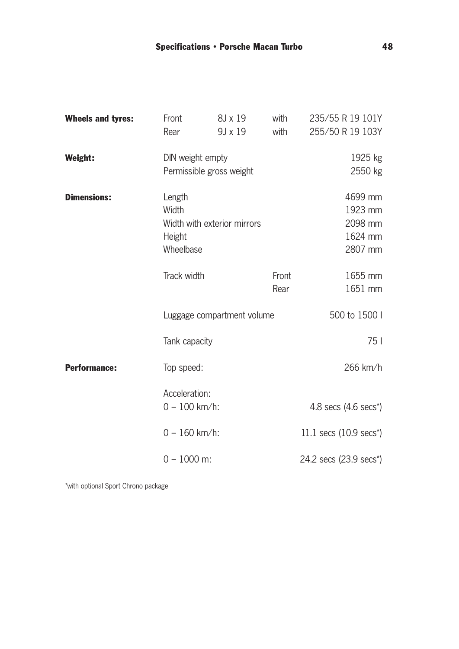| <b>Wheels and tyres:</b> | Front<br>Rear                          | 8J x 19<br>9J x 19          | with<br>with  | 235/55 R 19 101Y<br>255/50 R 19 103Y                |
|--------------------------|----------------------------------------|-----------------------------|---------------|-----------------------------------------------------|
| <b>Weight:</b>           | DIN weight empty                       | Permissible gross weight    |               | 1925 kg<br>2550 kg                                  |
| <b>Dimensions:</b>       | Length<br>Width<br>Height<br>Wheelbase | Width with exterior mirrors |               | 4699 mm<br>1923 mm<br>2098 mm<br>1624 mm<br>2807 mm |
|                          | Track width                            |                             | Front<br>Rear | 1655 mm<br>1651 mm                                  |
|                          |                                        | Luggage compartment volume  |               | 500 to 1500 l                                       |
|                          | Tank capacity                          |                             |               | 75                                                  |
| <b>Performance:</b>      | Top speed:                             |                             |               | 266 km/h                                            |
|                          | Acceleration:<br>$0 - 100$ km/h:       |                             |               | 4.8 secs (4.6 secs*)                                |
|                          | $0 - 160$ km/h:                        |                             |               | 11.1 secs $(10.9 \text{ secs}^*)$                   |
|                          | $0 - 1000$ m:                          |                             |               | 24.2 secs (23.9 secs <sup>*</sup> )                 |

\*with optional Sport Chrono package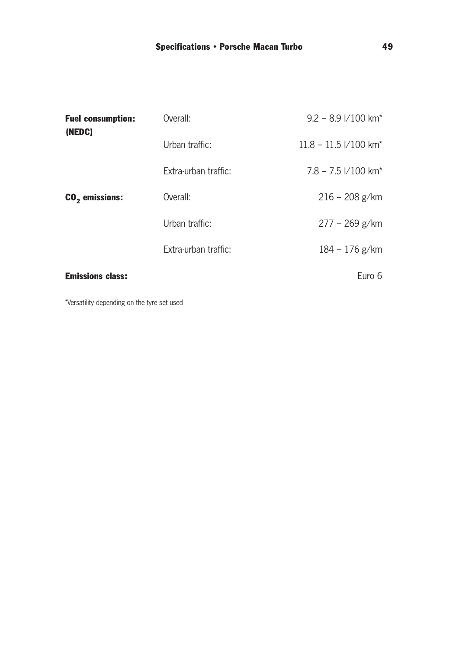| <b>Fuel consumption:</b><br>(NEDC) | Overall:             | $9.2 - 8.9$ $1/100$ km <sup>*</sup>   |
|------------------------------------|----------------------|---------------------------------------|
|                                    | Urban traffic:       | $11.8 - 11.5$ $1/100$ km <sup>*</sup> |
|                                    | Extra-urban traffic: | $7.8 - 7.5$ $1/100$ km <sup>*</sup>   |
| $CO2$ emissions:                   | Overall:             | $216 - 208$ g/km                      |
|                                    | Urban traffic:       | $277 - 269$ g/km                      |
|                                    | Extra-urban traffic: | $184 - 176$ g/km                      |
| <b>Emissions class:</b>            |                      | Euro 6                                |

\*Versatility depending on the tyre set used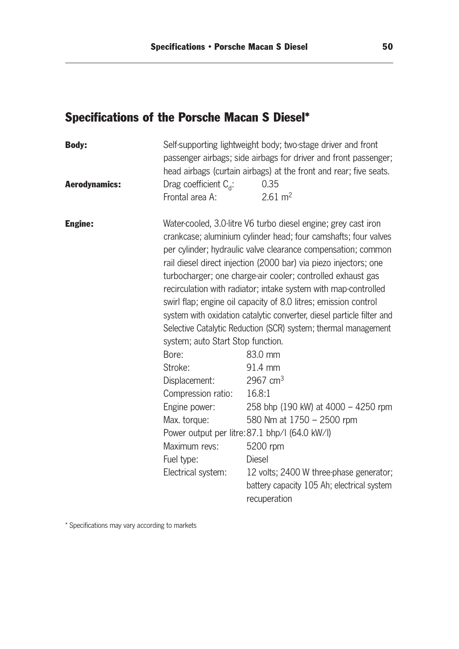# Specifications of the Porsche Macan S Diesel\*

| Self-supporting lightweight body; two-stage driver and front<br>passenger airbags; side airbags for driver and front passenger;<br>head airbags (curtain airbags) at the front and rear; five seats. |                                                                                                                                                                                                                                                                                                                                                                                                                                                                                                                                                                                                                                                                                                                                                                                                                                                                                                                                |  |
|------------------------------------------------------------------------------------------------------------------------------------------------------------------------------------------------------|--------------------------------------------------------------------------------------------------------------------------------------------------------------------------------------------------------------------------------------------------------------------------------------------------------------------------------------------------------------------------------------------------------------------------------------------------------------------------------------------------------------------------------------------------------------------------------------------------------------------------------------------------------------------------------------------------------------------------------------------------------------------------------------------------------------------------------------------------------------------------------------------------------------------------------|--|
| Drag coefficient $C_{d}$ :                                                                                                                                                                           | 0.35                                                                                                                                                                                                                                                                                                                                                                                                                                                                                                                                                                                                                                                                                                                                                                                                                                                                                                                           |  |
| Frontal area A:                                                                                                                                                                                      | $2.61 \text{ m}^2$                                                                                                                                                                                                                                                                                                                                                                                                                                                                                                                                                                                                                                                                                                                                                                                                                                                                                                             |  |
| system; auto Start Stop function.<br>Bore:<br>Stroke:<br>Displacement:<br>Compression ratio:<br>Engine power:<br>Max. torque:<br>Maximum revs:<br>Fuel type:<br>Electrical system:                   | Water-cooled, 3.0-litre V6 turbo diesel engine; grey cast iron<br>crankcase; aluminium cylinder head; four camshafts; four valves<br>per cylinder; hydraulic valve clearance compensation; common<br>rail diesel direct injection (2000 bar) via piezo injectors; one<br>turbocharger; one charge-air cooler; controlled exhaust gas<br>recirculation with radiator; intake system with map-controlled<br>swirl flap; engine oil capacity of 8.0 litres; emission control<br>system with oxidation catalytic converter, diesel particle filter and<br>Selective Catalytic Reduction (SCR) system; thermal management<br>83.0 mm<br>91.4 mm<br>2967 $cm3$<br>16.8:1<br>258 bhp (190 kW) at 4000 - 4250 rpm<br>580 Nm at 1750 - 2500 rpm<br>Power output per litre: 87.1 bhp/l (64.0 kW/l)<br>5200 rpm<br><b>Diesel</b><br>12 volts; 2400 W three-phase generator;<br>battery capacity 105 Ah; electrical system<br>recuperation |  |
|                                                                                                                                                                                                      |                                                                                                                                                                                                                                                                                                                                                                                                                                                                                                                                                                                                                                                                                                                                                                                                                                                                                                                                |  |

\* Specifications may vary according to markets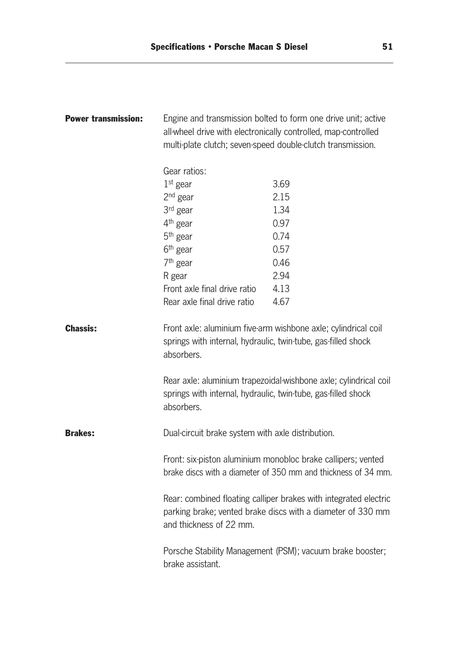| <b>Power transmission:</b> | Engine and transmission bolted to form one drive unit; active<br>all-wheel drive with electronically controlled, map-controlled<br>multi-plate clutch; seven-speed double-clutch transmission. |                                                                                                                                    |  |
|----------------------------|------------------------------------------------------------------------------------------------------------------------------------------------------------------------------------------------|------------------------------------------------------------------------------------------------------------------------------------|--|
|                            | Gear ratios:                                                                                                                                                                                   |                                                                                                                                    |  |
|                            | $1st$ gear                                                                                                                                                                                     | 3.69                                                                                                                               |  |
|                            | $2nd$ gear                                                                                                                                                                                     | 2.15                                                                                                                               |  |
|                            | 3 <sup>rd</sup> gear                                                                                                                                                                           | 1.34                                                                                                                               |  |
|                            | 4 <sup>th</sup> gear                                                                                                                                                                           | 0.97                                                                                                                               |  |
|                            | $5th$ gear                                                                                                                                                                                     | 0.74                                                                                                                               |  |
|                            | 6 <sup>th</sup> gear                                                                                                                                                                           | 0.57                                                                                                                               |  |
|                            | $7th$ gear                                                                                                                                                                                     | 0.46                                                                                                                               |  |
|                            | R gear                                                                                                                                                                                         | 2.94                                                                                                                               |  |
|                            | Front axle final drive ratio                                                                                                                                                                   | 4.13                                                                                                                               |  |
|                            | Rear axle final drive ratio                                                                                                                                                                    | 4.67                                                                                                                               |  |
| <b>Chassis:</b>            | springs with internal, hydraulic, twin-tube, gas-filled shock<br>absorbers.<br>springs with internal, hydraulic, twin-tube, gas-filled shock<br>absorbers.                                     | Front axle: aluminium five-arm wishbone axle; cylindrical coil<br>Rear axle: aluminium trapezoidal wishbone axle; cylindrical coil |  |
| <b>Brakes:</b>             | Dual-circuit brake system with axle distribution.                                                                                                                                              |                                                                                                                                    |  |
|                            |                                                                                                                                                                                                | Front: six-piston aluminium monobloc brake callipers; vented<br>brake discs with a diameter of 350 mm and thickness of 34 mm.      |  |
|                            | and thickness of 22 mm.                                                                                                                                                                        | Rear: combined floating calliper brakes with integrated electric<br>parking brake; vented brake discs with a diameter of 330 mm    |  |
|                            | brake assistant.                                                                                                                                                                               | Porsche Stability Management (PSM); vacuum brake booster;                                                                          |  |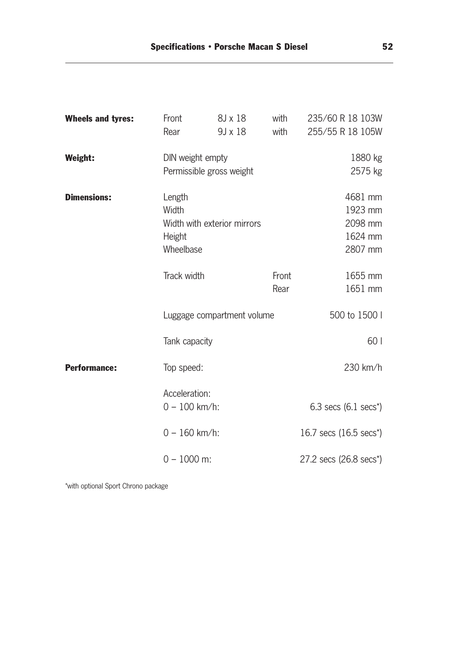| <b>Wheels and tyres:</b> | Front<br>Rear                                                                        | 8J x 18<br>9J x 18         | with<br>with | 235/60 R 18 103W<br>255/55 R 18 105W                           |
|--------------------------|--------------------------------------------------------------------------------------|----------------------------|--------------|----------------------------------------------------------------|
| Weight:                  | DIN weight empty<br>Permissible gross weight                                         |                            |              | 1880 kg<br>2575 kg                                             |
| <b>Dimensions:</b>       | Length<br>Width<br>Width with exterior mirrors<br>Height<br>Wheelbase<br>Track width |                            | Front        | 4681 mm<br>1923 mm<br>2098 mm<br>1624 mm<br>2807 mm<br>1655 mm |
|                          |                                                                                      |                            | Rear         | 1651 mm                                                        |
|                          |                                                                                      | Luggage compartment volume |              | 500 to 1500 l                                                  |
|                          | Tank capacity                                                                        |                            |              | 60                                                             |
| <b>Performance:</b>      | Top speed:                                                                           |                            |              | 230 km/h                                                       |
|                          | Acceleration:<br>$0 - 100$ km/h:                                                     |                            |              | 6.3 secs $(6.1 \text{ secs}^*)$                                |
|                          | $0 - 160$ km/h:                                                                      |                            |              | 16.7 secs (16.5 secs*)                                         |
|                          | $0 - 1000$ m:                                                                        |                            |              | 27.2 secs (26.8 secs <sup>*</sup> )                            |

\*with optional Sport Chrono package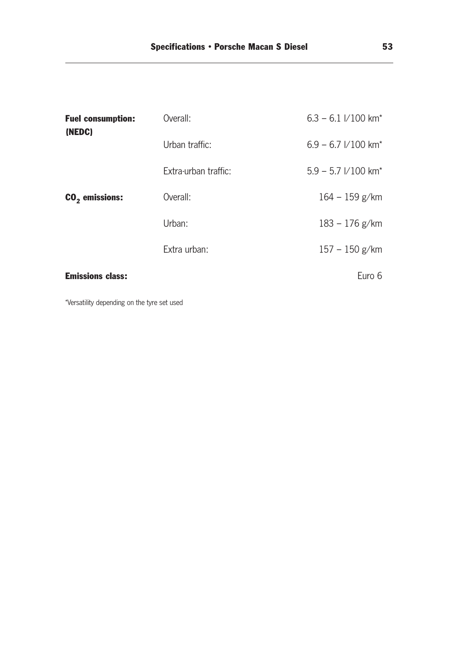| <b>Fuel consumption:</b><br>(NEDC) | Overall:             | $6.3 - 6.1$ //100 km <sup>*</sup>   |
|------------------------------------|----------------------|-------------------------------------|
|                                    | Urban traffic:       | $6.9 - 6.7$ $1/100$ km <sup>*</sup> |
|                                    | Extra-urban traffic: | $5.9 - 5.7$ $1/100$ km <sup>*</sup> |
| $CO2$ emissions:                   | Overall:             | $164 - 159$ g/km                    |
|                                    | Urban:               | $183 - 176$ g/km                    |
|                                    | Extra urban:         | $157 - 150$ g/km                    |
| <b>Emissions class:</b>            |                      | Euro 6                              |

\*Versatility depending on the tyre set used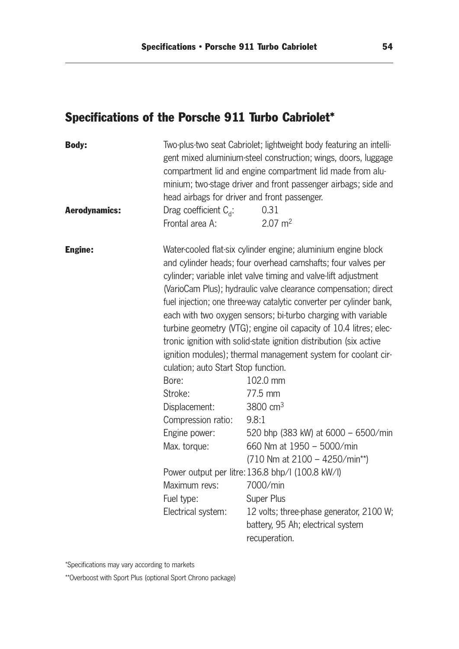# Specifications of the Porsche 911 Turbo Cabriolet\*

| <b>Body:</b>         | head airbags for driver and front passenger.                                                                                                                                                  | Two-plus-two seat Cabriolet; lightweight body featuring an intelli-<br>gent mixed aluminium-steel construction; wings, doors, luggage<br>compartment lid and engine compartment lid made from alu-<br>minium; two-stage driver and front passenger airbags; side and                                                                                                                                                                                                                                                                                                                                                                                                                                                                                                                                                                                                                                                                                          |
|----------------------|-----------------------------------------------------------------------------------------------------------------------------------------------------------------------------------------------|---------------------------------------------------------------------------------------------------------------------------------------------------------------------------------------------------------------------------------------------------------------------------------------------------------------------------------------------------------------------------------------------------------------------------------------------------------------------------------------------------------------------------------------------------------------------------------------------------------------------------------------------------------------------------------------------------------------------------------------------------------------------------------------------------------------------------------------------------------------------------------------------------------------------------------------------------------------|
| <b>Aerodynamics:</b> | Drag coefficient $C_{d}$ :<br>Frontal area A:                                                                                                                                                 | 0.31<br>$2.07 \text{ m}^2$                                                                                                                                                                                                                                                                                                                                                                                                                                                                                                                                                                                                                                                                                                                                                                                                                                                                                                                                    |
| <b>Engine:</b>       | culation; auto Start Stop function.<br>Bore:<br>Stroke:<br>Displacement:<br>Compression ratio:<br>Engine power:<br>Max. torque:<br>Maximum revs: 7000/min<br>Fuel type:<br>Electrical system: | Water-cooled flat-six cylinder engine; aluminium engine block<br>and cylinder heads; four overhead camshafts; four valves per<br>cylinder; variable inlet valve timing and valve-lift adjustment<br>(VarioCam Plus); hydraulic valve clearance compensation; direct<br>fuel injection; one three way catalytic converter per cylinder bank,<br>each with two oxygen sensors; bi-turbo charging with variable<br>turbine geometry (VTG); engine oil capacity of 10.4 litres; elec-<br>tronic ignition with solid-state ignition distribution (six active<br>ignition modules); thermal management system for coolant cir-<br>102.0 mm<br>77.5 mm<br>3800 $cm3$<br>9.8:1<br>520 bhp (383 kW) at 6000 - 6500/min<br>660 Nm at 1950 - 5000/min<br>$(710$ Nm at $2100 - 4250/min^{**})$<br>Power output per litre: 136.8 bhp/l (100.8 kW/l)<br><b>Super Plus</b><br>12 volts; three-phase generator, 2100 W;<br>battery, 95 Ah; electrical system<br>recuperation. |

\*Specifications may vary according to markets

\*\*Overboost with Sport Plus (optional Sport Chrono package)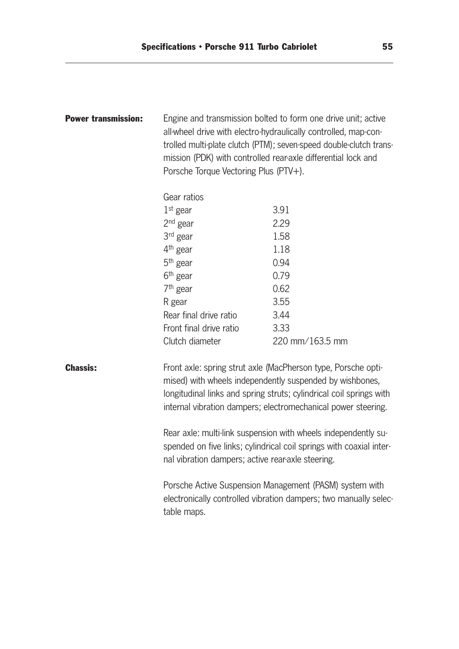| <b>Power transmission:</b> | Engine and transmission bolted to form one drive unit; active<br>all-wheel drive with electro-hydraulically controlled, map-con-<br>trolled multi-plate clutch (PTM); seven-speed double-clutch trans-<br>mission (PDK) with controlled rear-axle differential lock and<br>Porsche Torque Vectoring Plus (PTV+). |                 |  |
|----------------------------|------------------------------------------------------------------------------------------------------------------------------------------------------------------------------------------------------------------------------------------------------------------------------------------------------------------|-----------------|--|
|                            | Gear ratios                                                                                                                                                                                                                                                                                                      |                 |  |
|                            | $1st$ gear                                                                                                                                                                                                                                                                                                       | 3.91            |  |
|                            | $2nd$ gear                                                                                                                                                                                                                                                                                                       | 2.29            |  |
|                            | 3 <sup>rd</sup> gear                                                                                                                                                                                                                                                                                             | 1.58            |  |
|                            | 4 <sup>th</sup> gear                                                                                                                                                                                                                                                                                             | 1.18            |  |
|                            | 5 <sup>th</sup> gear                                                                                                                                                                                                                                                                                             | 0.94            |  |
|                            | 6 <sup>th</sup> gear                                                                                                                                                                                                                                                                                             | 0.79            |  |
|                            | 7 <sup>th</sup> gear                                                                                                                                                                                                                                                                                             | 0.62            |  |
|                            | R gear                                                                                                                                                                                                                                                                                                           | 3.55            |  |
|                            | Rear final drive ratio                                                                                                                                                                                                                                                                                           | 3.44            |  |
|                            | Front final drive ratio                                                                                                                                                                                                                                                                                          | 3.33            |  |
|                            | Clutch diameter                                                                                                                                                                                                                                                                                                  | 220 mm/163.5 mm |  |
| <b>Chassis:</b>            | Front axle: spring strut axle (MacPherson type, Porsche opti-<br>mised) with wheels independently suspended by wishbones,<br>longitudinal links and spring struts; cylindrical coil springs with<br>internal vibration dampers; electromechanical power steering.                                                |                 |  |
|                            | Rear axle: multi-link suspension with wheels independently su-<br>spended on five links; cylindrical coil springs with coaxial inter-<br>nal vibration dampers; active rear-axle steering.                                                                                                                       |                 |  |
|                            | Porsche Active Suspension Management (PASM) system with<br>electronically controlled vibration dampers; two manually selec-<br>table maps.                                                                                                                                                                       |                 |  |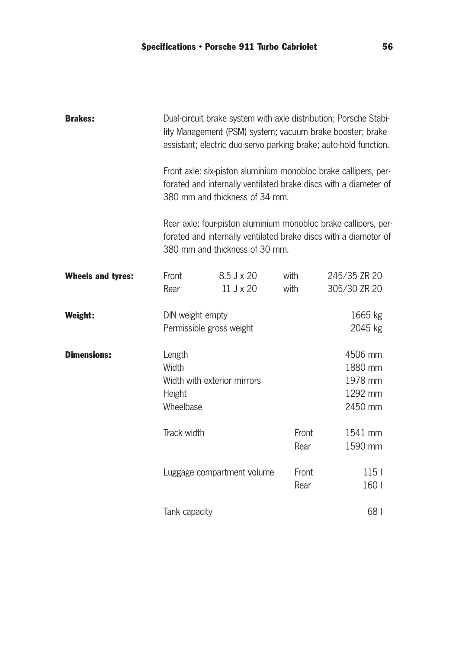| <b>Brakes:</b>           | Dual-circuit brake system with axle distribution; Porsche Stabi-<br>lity Management (PSM) system; vacuum brake booster; brake<br>assistant; electric duo-servo parking brake; auto-hold function. |                             |               |                                                     |  |
|--------------------------|---------------------------------------------------------------------------------------------------------------------------------------------------------------------------------------------------|-----------------------------|---------------|-----------------------------------------------------|--|
|                          | Front axle: six-piston aluminium monobloc brake callipers, per-<br>forated and internally ventilated brake discs with a diameter of<br>380 mm and thickness of 34 mm.                             |                             |               |                                                     |  |
|                          | Rear axle: four piston aluminium monobloc brake callipers, per-<br>forated and internally ventilated brake discs with a diameter of<br>380 mm and thickness of 30 mm.                             |                             |               |                                                     |  |
| <b>Wheels and tyres:</b> | Front                                                                                                                                                                                             | $8.5$ J x 20                | with          | 245/35 ZR 20                                        |  |
|                          | Rear                                                                                                                                                                                              | 11 J x 20                   | with          | 305/30 ZR 20                                        |  |
| <b>Weight:</b>           | DIN weight empty                                                                                                                                                                                  | Permissible gross weight    |               | 1665 kg<br>2045 kg                                  |  |
| <b>Dimensions:</b>       | Length<br>Width<br>Height<br>Wheelbase                                                                                                                                                            | Width with exterior mirrors |               | 4506 mm<br>1880 mm<br>1978 mm<br>1292 mm<br>2450 mm |  |
|                          | Track width                                                                                                                                                                                       |                             | Front<br>Rear | 1541 mm<br>1590 mm                                  |  |
|                          |                                                                                                                                                                                                   | Luggage compartment volume  | Front<br>Rear | 115 <sub>1</sub><br>160                             |  |
|                          | Tank capacity                                                                                                                                                                                     |                             |               | 68                                                  |  |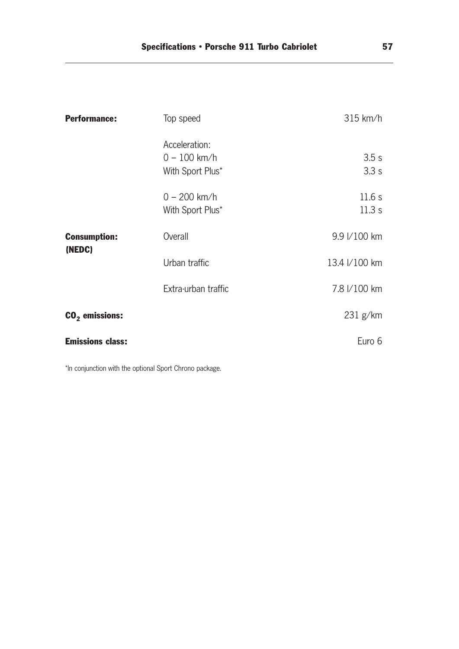| <b>Performance:</b>     | Top speed                                           | $315$ km/h     |
|-------------------------|-----------------------------------------------------|----------------|
|                         | Acceleration:<br>$0 - 100$ km/h<br>With Sport Plus* | 3.5s<br>3.3s   |
|                         | $0 - 200$ km/h<br>With Sport Plus*                  | 11.6s<br>11.3s |
| <b>Consumption:</b>     | Overall                                             | 9.9 I/100 km   |
| (NEDC)                  | Urban traffic                                       | 13.4 I/100 km  |
|                         | Extra-urban traffic                                 | 7.8 I/100 km   |
| $CO2$ emissions:        |                                                     | 231 g/km       |
| <b>Emissions class:</b> |                                                     | Euro 6         |

\*In conjunction with the optional Sport Chrono package.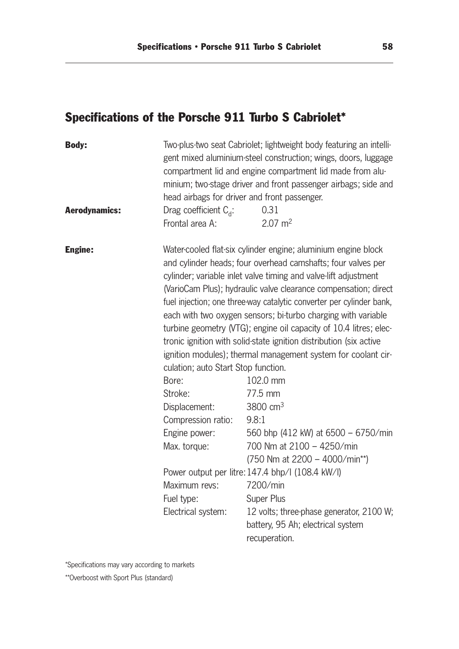# Specifications of the Porsche 911 Turbo S Cabriolet\*

| <b>Body:</b>         | head airbags for driver and front passenger.                                                                                                                                                  | Two-plus-two seat Cabriolet; lightweight body featuring an intelli-<br>gent mixed aluminium-steel construction; wings, doors, luggage<br>compartment lid and engine compartment lid made from alu-<br>minium; two-stage driver and front passenger airbags; side and                                                                                                                                                                                                                                                                                                                                                                                                                                                                                                                                                                                                                                                                                     |
|----------------------|-----------------------------------------------------------------------------------------------------------------------------------------------------------------------------------------------|----------------------------------------------------------------------------------------------------------------------------------------------------------------------------------------------------------------------------------------------------------------------------------------------------------------------------------------------------------------------------------------------------------------------------------------------------------------------------------------------------------------------------------------------------------------------------------------------------------------------------------------------------------------------------------------------------------------------------------------------------------------------------------------------------------------------------------------------------------------------------------------------------------------------------------------------------------|
| <b>Aerodynamics:</b> | Drag coefficient $C_{d}$ :<br>Frontal area A:                                                                                                                                                 | 0.31<br>$2.07 \text{ m}^2$                                                                                                                                                                                                                                                                                                                                                                                                                                                                                                                                                                                                                                                                                                                                                                                                                                                                                                                               |
| <b>Engine:</b>       | culation; auto Start Stop function.<br>Bore:<br>Stroke:<br>Displacement:<br>Compression ratio:<br>Engine power:<br>Max. torque:<br>Maximum revs: 7200/min<br>Fuel type:<br>Electrical system: | Water-cooled flat-six cylinder engine; aluminium engine block<br>and cylinder heads; four overhead camshafts; four valves per<br>cylinder; variable inlet valve timing and valve-lift adjustment<br>(VarioCam Plus); hydraulic valve clearance compensation; direct<br>fuel injection; one three way catalytic converter per cylinder bank,<br>each with two oxygen sensors; bi-turbo charging with variable<br>turbine geometry (VTG); engine oil capacity of 10.4 litres; elec-<br>tronic ignition with solid-state ignition distribution (six active<br>ignition modules); thermal management system for coolant cir-<br>102.0 mm<br>77.5 mm<br>3800 $cm3$<br>9.8:1<br>560 bhp (412 kW) at 6500 - 6750/min<br>700 Nm at 2100 - 4250/min<br>$(750$ Nm at 2200 - 4000/min**)<br>Power output per litre: 147.4 bhp/l (108.4 kW/l)<br><b>Super Plus</b><br>12 volts; three-phase generator, 2100 W;<br>battery, 95 Ah; electrical system<br>recuperation. |

\*Specifications may vary according to markets

\*\*Overboost with Sport Plus (standard)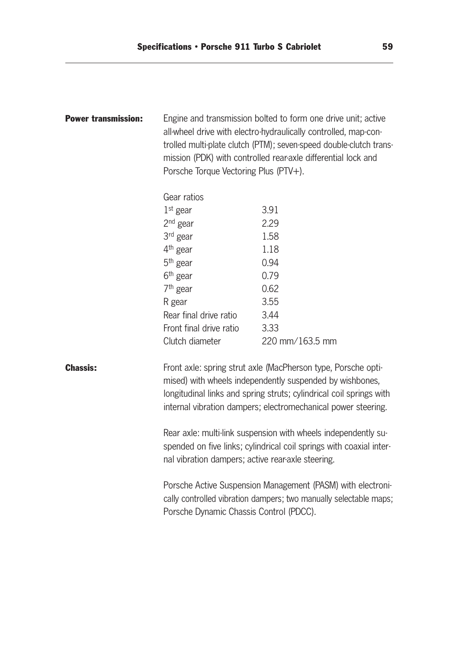| <b>Power transmission:</b> | Engine and transmission bolted to form one drive unit; active<br>all-wheel drive with electro-hydraulically controlled, map-con-<br>trolled multi-plate clutch (PTM); seven-speed double-clutch trans-<br>mission (PDK) with controlled rear-axle differential lock and<br>Porsche Torque Vectoring Plus (PTV+). |                 |  |
|----------------------------|------------------------------------------------------------------------------------------------------------------------------------------------------------------------------------------------------------------------------------------------------------------------------------------------------------------|-----------------|--|
|                            | Gear ratios                                                                                                                                                                                                                                                                                                      |                 |  |
|                            | $1st$ gear                                                                                                                                                                                                                                                                                                       | 3.91            |  |
|                            | $2nd$ gear                                                                                                                                                                                                                                                                                                       | 2.29            |  |
|                            | 3 <sup>rd</sup> gear                                                                                                                                                                                                                                                                                             | 1.58            |  |
|                            | 4 <sup>th</sup> gear                                                                                                                                                                                                                                                                                             | 1.18            |  |
|                            | $5th$ gear                                                                                                                                                                                                                                                                                                       | 0.94            |  |
|                            | 6 <sup>th</sup> gear                                                                                                                                                                                                                                                                                             | 0.79            |  |
|                            | 7 <sup>th</sup> gear                                                                                                                                                                                                                                                                                             | 0.62            |  |
|                            | R gear                                                                                                                                                                                                                                                                                                           | 3.55            |  |
|                            | Rear final drive ratio                                                                                                                                                                                                                                                                                           | 3.44            |  |
|                            | Front final drive ratio                                                                                                                                                                                                                                                                                          | 3.33            |  |
|                            | Clutch diameter                                                                                                                                                                                                                                                                                                  | 220 mm/163.5 mm |  |
| <b>Chassis:</b>            | Front axle: spring strut axle (MacPherson type, Porsche opti-<br>mised) with wheels independently suspended by wishbones,<br>longitudinal links and spring struts; cylindrical coil springs with<br>internal vibration dampers; electromechanical power steering.                                                |                 |  |
|                            | Rear axle: multi-link suspension with wheels independently su-<br>spended on five links; cylindrical coil springs with coaxial inter-<br>nal vibration dampers; active rear-axle steering.                                                                                                                       |                 |  |
|                            | Porsche Active Suspension Management (PASM) with electroni-<br>cally controlled vibration dampers; two manually selectable maps;<br>Porsche Dynamic Chassis Control (PDCC).                                                                                                                                      |                 |  |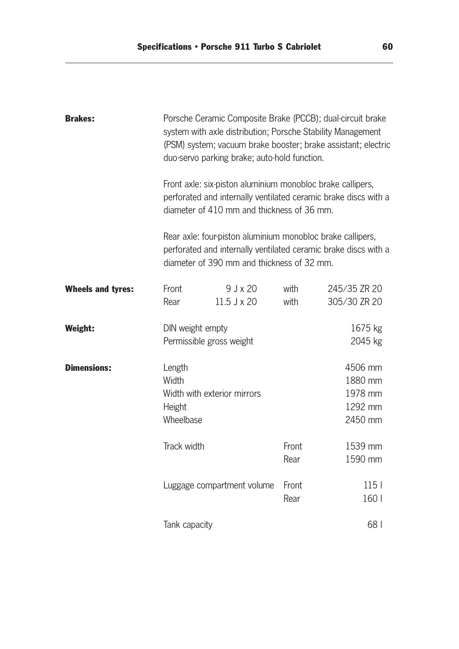| <b>Brakes:</b>           | Porsche Ceramic Composite Brake (PCCB); dual-circuit brake<br>system with axle distribution; Porsche Stability Management<br>(PSM) system; vacuum brake booster; brake assistant; electric<br>duo-servo parking brake; auto-hold function.<br>Front axle: six-piston aluminium monobloc brake callipers,<br>perforated and internally ventilated ceramic brake discs with a<br>diameter of 410 mm and thickness of 36 mm. |                             |               |                                                     |  |
|--------------------------|---------------------------------------------------------------------------------------------------------------------------------------------------------------------------------------------------------------------------------------------------------------------------------------------------------------------------------------------------------------------------------------------------------------------------|-----------------------------|---------------|-----------------------------------------------------|--|
|                          |                                                                                                                                                                                                                                                                                                                                                                                                                           |                             |               |                                                     |  |
|                          | Rear axle: four piston aluminium monobloc brake callipers,<br>perforated and internally ventilated ceramic brake discs with a<br>diameter of 390 mm and thickness of 32 mm.                                                                                                                                                                                                                                               |                             |               |                                                     |  |
| <b>Wheels and tyres:</b> | Front<br>Rear                                                                                                                                                                                                                                                                                                                                                                                                             | $9$ J x 20<br>$11.5$ J x 20 | with<br>with  | 245/35 ZR 20<br>305/30 ZR 20                        |  |
| Weight:                  | DIN weight empty                                                                                                                                                                                                                                                                                                                                                                                                          | Permissible gross weight    |               | 1675 kg<br>2045 kg                                  |  |
| <b>Dimensions:</b>       | Length<br>Width<br>Height<br>Wheelbase                                                                                                                                                                                                                                                                                                                                                                                    | Width with exterior mirrors |               | 4506 mm<br>1880 mm<br>1978 mm<br>1292 mm<br>2450 mm |  |
|                          | Track width                                                                                                                                                                                                                                                                                                                                                                                                               |                             | Front<br>Rear | 1539 mm<br>1590 mm                                  |  |
|                          | Luggage compartment volume                                                                                                                                                                                                                                                                                                                                                                                                |                             | Front<br>Rear | 115 <sub>1</sub><br>160                             |  |
|                          | Tank capacity                                                                                                                                                                                                                                                                                                                                                                                                             |                             |               | 68                                                  |  |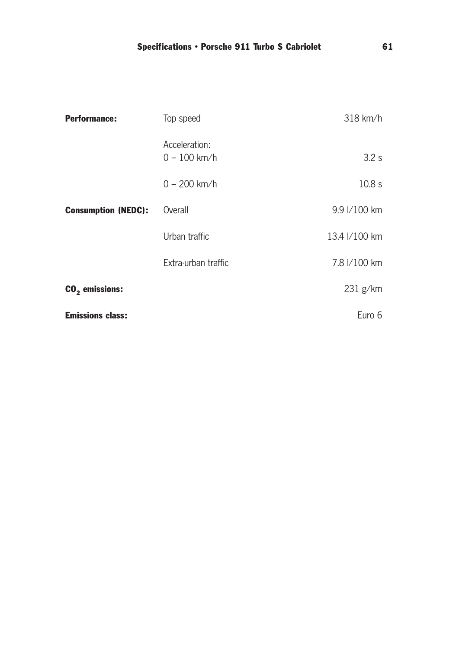| <b>Performance:</b>        | Top speed                       | $318$ km/h    |
|----------------------------|---------------------------------|---------------|
|                            | Acceleration:<br>$0 - 100$ km/h | 3.2 s         |
|                            | $0 - 200$ km/h                  | 10.8 s        |
| <b>Consumption (NEDC):</b> | Overall                         | 9.9 I/100 km  |
|                            | Urban traffic                   | 13.4 //100 km |
|                            | Extra-urban traffic             | 7.8 I/100 km  |
| $CO2$ emissions:           |                                 | 231 g/km      |
| <b>Emissions class:</b>    |                                 | Euro 6        |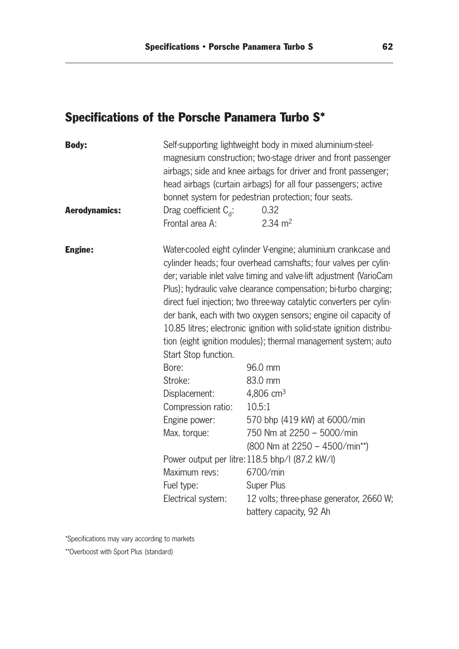# Specifications of the Porsche Panamera Turbo S\*

\*Specifications may vary according to markets

\*\*Overboost with Sport Plus (standard)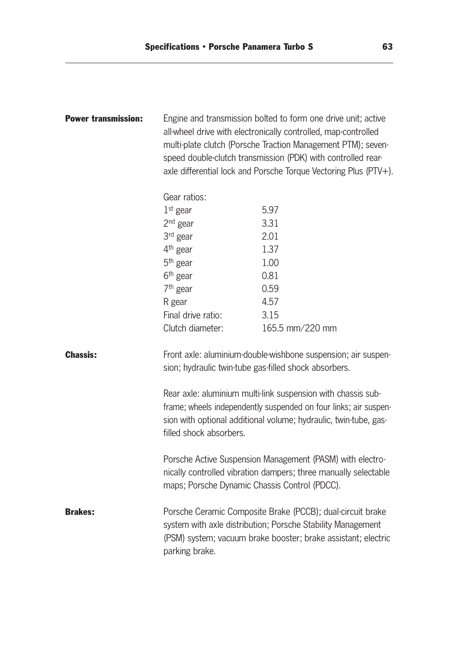| <b>Power transmission:</b> | Engine and transmission bolted to form one drive unit; active<br>all-wheel drive with electronically controlled, map-controlled<br>multi-plate clutch (Porsche Traction Management PTM); seven-<br>speed double-clutch transmission (PDK) with controlled rear-<br>axle differential lock and Porsche Torque Vectoring Plus (PTV+). |                                                                                                                                                                                            |  |  |
|----------------------------|-------------------------------------------------------------------------------------------------------------------------------------------------------------------------------------------------------------------------------------------------------------------------------------------------------------------------------------|--------------------------------------------------------------------------------------------------------------------------------------------------------------------------------------------|--|--|
|                            | Gear ratios:                                                                                                                                                                                                                                                                                                                        |                                                                                                                                                                                            |  |  |
|                            | $1st$ gear                                                                                                                                                                                                                                                                                                                          | 5.97                                                                                                                                                                                       |  |  |
|                            | $2nd$ gear                                                                                                                                                                                                                                                                                                                          | 3.31                                                                                                                                                                                       |  |  |
|                            | 3 <sup>rd</sup> gear                                                                                                                                                                                                                                                                                                                | 2.01                                                                                                                                                                                       |  |  |
|                            | 4 <sup>th</sup> gear                                                                                                                                                                                                                                                                                                                | 1.37                                                                                                                                                                                       |  |  |
|                            | $5th$ gear                                                                                                                                                                                                                                                                                                                          | 1.00                                                                                                                                                                                       |  |  |
|                            | 6 <sup>th</sup> gear                                                                                                                                                                                                                                                                                                                | 0.81                                                                                                                                                                                       |  |  |
|                            | $7th$ gear                                                                                                                                                                                                                                                                                                                          | 0.59                                                                                                                                                                                       |  |  |
|                            | R gear                                                                                                                                                                                                                                                                                                                              | 4.57                                                                                                                                                                                       |  |  |
|                            | Final drive ratio:                                                                                                                                                                                                                                                                                                                  | 3.15                                                                                                                                                                                       |  |  |
|                            | Clutch diameter:                                                                                                                                                                                                                                                                                                                    | 165.5 mm/220 mm                                                                                                                                                                            |  |  |
| <b>Chassis:</b>            | Front axle: aluminium-double-wishbone suspension; air suspen-<br>sion; hydraulic twin-tube gas-filled shock absorbers.                                                                                                                                                                                                              |                                                                                                                                                                                            |  |  |
|                            | Rear axle: aluminium multi-link suspension with chassis sub-<br>frame; wheels independently suspended on four links; air suspen-<br>sion with optional additional volume; hydraulic, twin-tube, gas-<br>filled shock absorbers.                                                                                                     |                                                                                                                                                                                            |  |  |
|                            | maps; Porsche Dynamic Chassis Control (PDCC).                                                                                                                                                                                                                                                                                       | Porsche Active Suspension Management (PASM) with electro-<br>nically controlled vibration dampers; three manually selectable                                                               |  |  |
| <b>Brakes:</b>             | parking brake.                                                                                                                                                                                                                                                                                                                      | Porsche Ceramic Composite Brake (PCCB); dual-circuit brake<br>system with axle distribution; Porsche Stability Management<br>(PSM) system; vacuum brake booster; brake assistant; electric |  |  |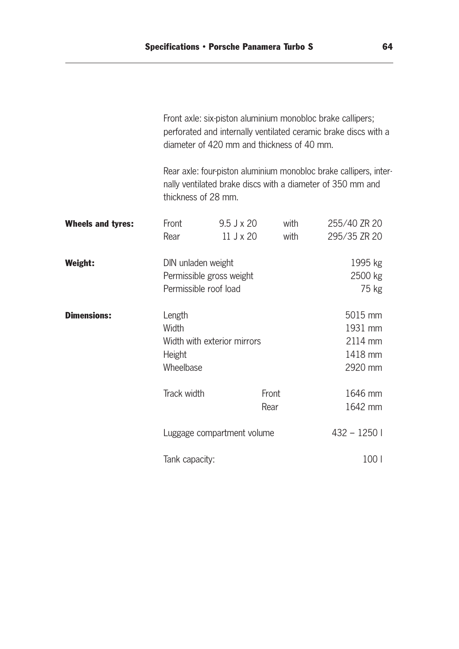|                          | Front axle: six-piston aluminium monobloc brake callipers;<br>perforated and internally ventilated ceramic brake discs with a<br>diameter of 420 mm and thickness of 40 mm. |                                                                                                                                                        |               |                                                     |  |
|--------------------------|-----------------------------------------------------------------------------------------------------------------------------------------------------------------------------|--------------------------------------------------------------------------------------------------------------------------------------------------------|---------------|-----------------------------------------------------|--|
|                          |                                                                                                                                                                             | Rear axle: four-piston aluminium monobloc brake callipers, inter-<br>nally ventilated brake discs with a diameter of 350 mm and<br>thickness of 28 mm. |               |                                                     |  |
| <b>Wheels and tyres:</b> | Front<br>Rear                                                                                                                                                               | $9.5$ J x 20<br>$11$ J $\times$ 20                                                                                                                     | with<br>with  | 255/40 ZR 20<br>295/35 ZR 20                        |  |
| <b>Weight:</b>           |                                                                                                                                                                             | DIN unladen weight<br>Permissible gross weight<br>Permissible roof load                                                                                |               |                                                     |  |
| <b>Dimensions:</b>       | Length<br>Width<br>Height<br>Wheelbase                                                                                                                                      | Width with exterior mirrors                                                                                                                            |               | 5015 mm<br>1931 mm<br>2114 mm<br>1418 mm<br>2920 mm |  |
|                          | Track width                                                                                                                                                                 |                                                                                                                                                        | Front<br>Rear | 1646 mm<br>1642 mm                                  |  |
|                          |                                                                                                                                                                             | Luggage compartment volume                                                                                                                             |               |                                                     |  |
|                          | Tank capacity:                                                                                                                                                              |                                                                                                                                                        |               | 100 l                                               |  |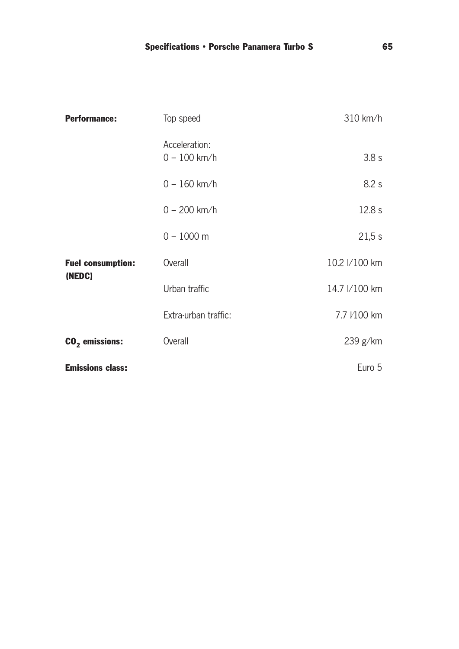| <b>Performance:</b>                | Top speed                       | $310$ km/h    |
|------------------------------------|---------------------------------|---------------|
|                                    | Acceleration:<br>$0 - 100$ km/h | 3.8 s         |
|                                    | $0 - 160$ km/h                  | 8.2 s         |
|                                    | $0 - 200$ km/h                  | 12.8 s        |
|                                    | $0 - 1000$ m                    | 21,5 s        |
| <b>Fuel consumption:</b><br>(NEDC) | Overall                         | 10.2 l/100 km |
|                                    | Urban traffic                   | 14.7 I/100 km |
|                                    | Extra-urban traffic:            | 7.7 /100 km   |
| $CO2$ emissions:                   | Overall                         | 239 g/km      |
| <b>Emissions class:</b>            |                                 | Euro 5        |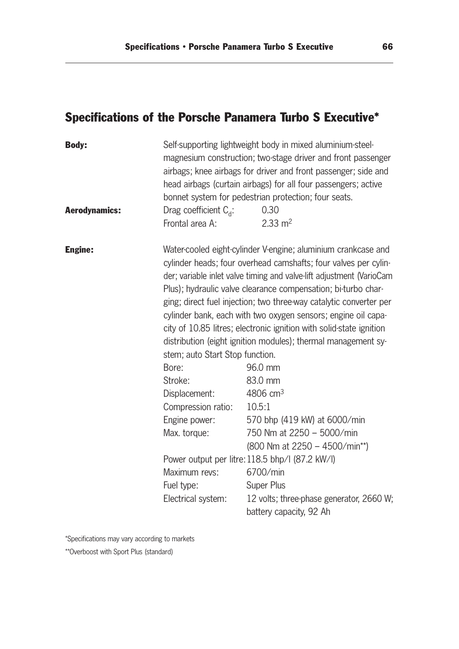# Specifications of the Porsche Panamera Turbo S Executive\*

| <b>Body:</b>         |                                                                                                                                                                                                                                                                                                                                                                                                                                                                                                                                                                                                                 | Self-supporting lightweight body in mixed aluminium-steel-<br>magnesium construction; two-stage driver and front passenger<br>airbags; knee airbags for driver and front passenger; side and<br>head airbags (curtain airbags) for all four passengers; active<br>bonnet system for pedestrian protection; four seats. |  |
|----------------------|-----------------------------------------------------------------------------------------------------------------------------------------------------------------------------------------------------------------------------------------------------------------------------------------------------------------------------------------------------------------------------------------------------------------------------------------------------------------------------------------------------------------------------------------------------------------------------------------------------------------|------------------------------------------------------------------------------------------------------------------------------------------------------------------------------------------------------------------------------------------------------------------------------------------------------------------------|--|
| <b>Aerodynamics:</b> | Drag coefficient $C_{d}$ :                                                                                                                                                                                                                                                                                                                                                                                                                                                                                                                                                                                      | 0.30                                                                                                                                                                                                                                                                                                                   |  |
|                      | Frontal area A:                                                                                                                                                                                                                                                                                                                                                                                                                                                                                                                                                                                                 | $2.33 \text{ m}^2$                                                                                                                                                                                                                                                                                                     |  |
| <b>Engine:</b>       | Water-cooled eight-cylinder V-engine; aluminium crankcase and<br>cylinder heads; four overhead camshafts; four valves per cylin-<br>der; variable inlet valve timing and valve-lift adjustment (VarioCam<br>Plus); hydraulic valve clearance compensation; bi-turbo char-<br>ging; direct fuel injection; two three-way catalytic converter per<br>cylinder bank, each with two oxygen sensors; engine oil capa-<br>city of 10.85 litres; electronic ignition with solid-state ignition<br>distribution (eight ignition modules); thermal management sy-<br>stem; auto Start Stop function.<br>96.0 mm<br>Bore: |                                                                                                                                                                                                                                                                                                                        |  |
|                      | Stroke:                                                                                                                                                                                                                                                                                                                                                                                                                                                                                                                                                                                                         | 83.0 mm                                                                                                                                                                                                                                                                                                                |  |
|                      | Displacement:                                                                                                                                                                                                                                                                                                                                                                                                                                                                                                                                                                                                   | 4806 $cm3$                                                                                                                                                                                                                                                                                                             |  |
|                      | Compression ratio:                                                                                                                                                                                                                                                                                                                                                                                                                                                                                                                                                                                              | 10.5:1                                                                                                                                                                                                                                                                                                                 |  |
|                      | Engine power:                                                                                                                                                                                                                                                                                                                                                                                                                                                                                                                                                                                                   | 570 bhp (419 kW) at 6000/min                                                                                                                                                                                                                                                                                           |  |
|                      | Max. torque:                                                                                                                                                                                                                                                                                                                                                                                                                                                                                                                                                                                                    | 750 Nm at 2250 - 5000/min                                                                                                                                                                                                                                                                                              |  |
|                      |                                                                                                                                                                                                                                                                                                                                                                                                                                                                                                                                                                                                                 | $(800$ Nm at 2250 - 4500/min**)                                                                                                                                                                                                                                                                                        |  |
|                      | Power output per litre: 118.5 bhp/l (87.2 kW/l)                                                                                                                                                                                                                                                                                                                                                                                                                                                                                                                                                                 |                                                                                                                                                                                                                                                                                                                        |  |
|                      | Maximum revs:                                                                                                                                                                                                                                                                                                                                                                                                                                                                                                                                                                                                   | 6700/min                                                                                                                                                                                                                                                                                                               |  |
|                      | Fuel type:                                                                                                                                                                                                                                                                                                                                                                                                                                                                                                                                                                                                      | Super Plus                                                                                                                                                                                                                                                                                                             |  |
|                      | Electrical system:                                                                                                                                                                                                                                                                                                                                                                                                                                                                                                                                                                                              | 12 volts; three-phase generator, 2660 W;                                                                                                                                                                                                                                                                               |  |
|                      |                                                                                                                                                                                                                                                                                                                                                                                                                                                                                                                                                                                                                 | battery capacity, 92 Ah                                                                                                                                                                                                                                                                                                |  |

\*Specifications may vary according to markets

\*\*Overboost with Sport Plus (standard)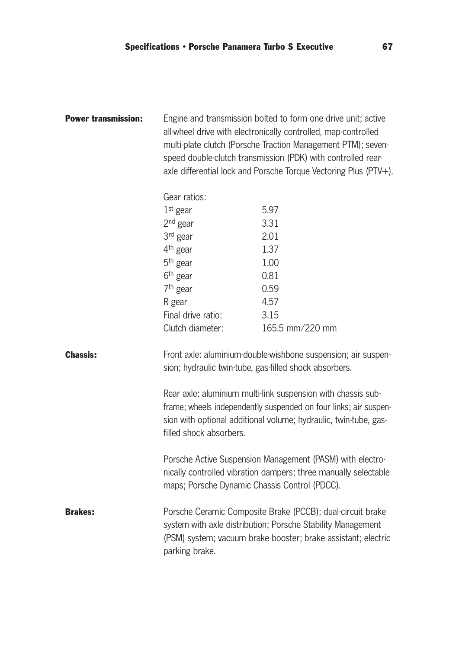| <b>Power transmission:</b> | Engine and transmission bolted to form one drive unit; active<br>all-wheel drive with electronically controlled, map-controlled<br>multi-plate clutch (Porsche Traction Management PTM); seven-<br>speed double-clutch transmission (PDK) with controlled rear-<br>axle differential lock and Porsche Torque Vectoring Plus (PTV+). |                                                                                                                              |  |
|----------------------------|-------------------------------------------------------------------------------------------------------------------------------------------------------------------------------------------------------------------------------------------------------------------------------------------------------------------------------------|------------------------------------------------------------------------------------------------------------------------------|--|
|                            | Gear ratios:                                                                                                                                                                                                                                                                                                                        |                                                                                                                              |  |
|                            | $1st$ gear                                                                                                                                                                                                                                                                                                                          | 5.97                                                                                                                         |  |
|                            | $2nd$ gear                                                                                                                                                                                                                                                                                                                          | 3.31                                                                                                                         |  |
|                            | 3rd gear                                                                                                                                                                                                                                                                                                                            | 2.01                                                                                                                         |  |
|                            | $4th$ gear                                                                                                                                                                                                                                                                                                                          | 1.37                                                                                                                         |  |
|                            | 5 <sup>th</sup> gear                                                                                                                                                                                                                                                                                                                | 1.00                                                                                                                         |  |
|                            | 6 <sup>th</sup> gear                                                                                                                                                                                                                                                                                                                | 0.81                                                                                                                         |  |
|                            | $7th$ gear                                                                                                                                                                                                                                                                                                                          | 0.59                                                                                                                         |  |
|                            | R gear                                                                                                                                                                                                                                                                                                                              | 4.57                                                                                                                         |  |
|                            | Final drive ratio:                                                                                                                                                                                                                                                                                                                  | 3.15                                                                                                                         |  |
|                            | Clutch diameter:                                                                                                                                                                                                                                                                                                                    | 165.5 mm/220 mm                                                                                                              |  |
| <b>Chassis:</b>            | Front axle: aluminium-double-wishbone suspension; air suspen-<br>sion; hydraulic twin-tube, gas-filled shock absorbers.                                                                                                                                                                                                             |                                                                                                                              |  |
|                            | Rear axle: aluminium multi-link suspension with chassis sub-<br>frame; wheels independently suspended on four links; air suspen-<br>sion with optional additional volume; hydraulic, twin-tube, gas-<br>filled shock absorbers.                                                                                                     |                                                                                                                              |  |
|                            | maps; Porsche Dynamic Chassis Control (PDCC).                                                                                                                                                                                                                                                                                       | Porsche Active Suspension Management (PASM) with electro-<br>nically controlled vibration dampers; three manually selectable |  |
| <b>Brakes:</b>             | Porsche Ceramic Composite Brake (PCCB); dual-circuit brake<br>system with axle distribution; Porsche Stability Management<br>(PSM) system; vacuum brake booster; brake assistant; electric<br>parking brake.                                                                                                                        |                                                                                                                              |  |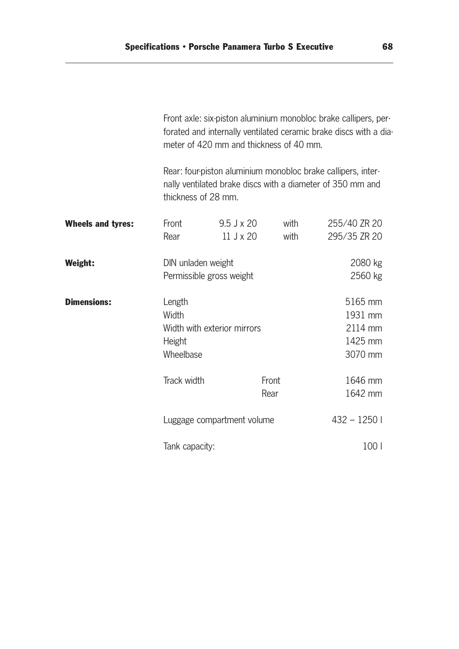|                          | Front axle: six-piston aluminium monobloc brake callipers, per-<br>forated and internally ventilated ceramic brake discs with a dia-<br>meter of 420 mm and thickness of 40 mm. |                                                                                                                                                   |               |              |                                                     |
|--------------------------|---------------------------------------------------------------------------------------------------------------------------------------------------------------------------------|---------------------------------------------------------------------------------------------------------------------------------------------------|---------------|--------------|-----------------------------------------------------|
|                          |                                                                                                                                                                                 | Rear: four-piston aluminium monobloc brake callipers, inter-<br>nally ventilated brake discs with a diameter of 350 mm and<br>thickness of 28 mm. |               |              |                                                     |
| <b>Wheels and tyres:</b> | Front<br>Rear                                                                                                                                                                   | $9.5$ J x 20<br>$11$ J $\times$ 20                                                                                                                |               | with<br>with | 255/40 ZR 20<br>295/35 ZR 20                        |
| Weight:                  | DIN unladen weight                                                                                                                                                              | Permissible gross weight                                                                                                                          |               |              | 2080 kg<br>2560 kg                                  |
| <b>Dimensions:</b>       | Length<br>Width<br>Height<br>Wheelbase                                                                                                                                          | Width with exterior mirrors                                                                                                                       |               |              | 5165 mm<br>1931 mm<br>2114 mm<br>1425 mm<br>3070 mm |
|                          | Track width                                                                                                                                                                     |                                                                                                                                                   | Front<br>Rear |              | 1646 mm<br>1642 mm                                  |
|                          |                                                                                                                                                                                 | Luggage compartment volume                                                                                                                        |               |              | $432 - 1250$                                        |
|                          | Tank capacity:                                                                                                                                                                  |                                                                                                                                                   |               |              | 100                                                 |